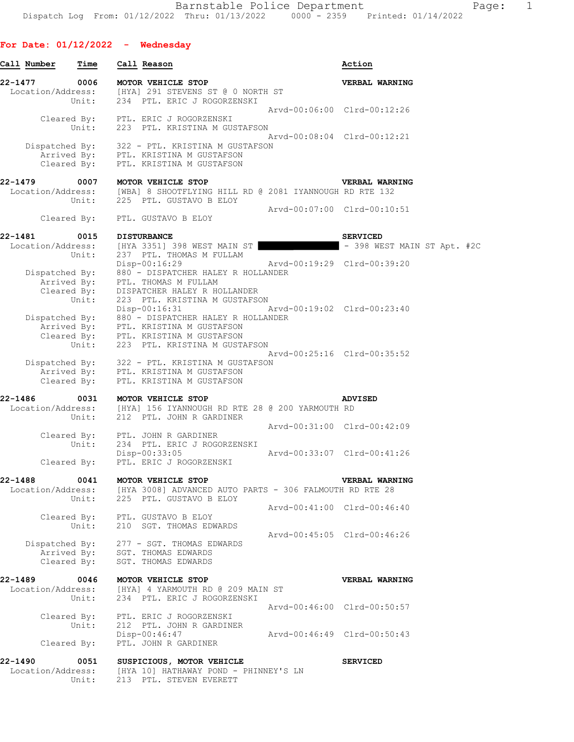## **For Date: 01/12/2022 - Wednesday**

| Call Number       | Time                                | Call Reason                                                                                                                                                                                          |                             | Action                      |
|-------------------|-------------------------------------|------------------------------------------------------------------------------------------------------------------------------------------------------------------------------------------------------|-----------------------------|-----------------------------|
| 22-1477           | 0006<br>Unit:                       | MOTOR VEHICLE STOP<br>Location/Address: [HYA] 291 STEVENS ST @ 0 NORTH ST<br>234 PTL. ERIC J ROGORZENSKI                                                                                             |                             | VERBAL WARNING              |
|                   | Cleared By:                         | PTL. ERIC J ROGORZENSKI                                                                                                                                                                              | Arvd-00:06:00 Clrd-00:12:26 |                             |
|                   | Unit:<br>Cleared By:                | 223 PTL. KRISTINA M GUSTAFSON<br>Dispatched By: 322 - PTL. KRISTINA M GUSTAFSON<br>Arrived By: PTL. KRISTINA M GUSTAFSON<br>PTL. KRISTINA M GUSTAFSON                                                | Arvd-00:08:04 Clrd-00:12:21 |                             |
| 22-1479           | 0007                                | MOTOR VEHICLE STOP                                                                                                                                                                                   |                             | VERBAL WARNING              |
|                   | Unit:                               | Location/Address: [WBA] 8 SHOOTFLYING HILL RD @ 2081 IYANNOUGH RD RTE 132<br>225 PTL. GUSTAVO B ELOY                                                                                                 |                             |                             |
|                   |                                     | Cleared By: PTL. GUSTAVO B ELOY                                                                                                                                                                      | Arvd-00:07:00 Clrd-00:10:51 |                             |
| 22-1481           | 0015                                | <b>DISTURBANCE</b>                                                                                                                                                                                   |                             | <b>SERVICED</b>             |
|                   | Unit:                               | Location/Address: [HYA 3351] 398 WEST MAIN ST                                                                                                                                                        |                             | - 398 WEST MAIN ST Apt. #2C |
| Dispatched By:    |                                     | 237 PTL. THOMAS M FULLAM<br>$Disp-00:16:29$<br>880 - DISPATCHER HALEY R HOLLANDER                                                                                                                    | Arvd-00:19:29 Clrd-00:39:20 |                             |
|                   | Arrived By:<br>Cleared By:<br>Unit: | PTL. THOMAS M FULLAM<br>DISPATCHER HALEY R HOLLANDER<br>223 PTL. KRISTINA M GUSTAFSON<br>Disp-00:16:31<br>Dispatched By: 880 - DISPATCHER HALEY R HOLLANDER<br>Arrived By: PTL. KRISTINA M GUSTAFSON | Arvd-00:19:02 Clrd-00:23:40 |                             |
|                   |                                     | Cleared By: PTL. KRISTINA M GUSTAFSON<br>Unit: 223 PTL. KRISTINA M GUST.<br>223 PTL. KRISTINA M GUSTAFSON<br>Dispatched By: 322 - PTL. KRISTINA M GUSTAFSON<br>Arrived By: PTL. KRISTINA M GUSTAFSON | Arvd-00:25:16 Clrd-00:35:52 |                             |
| 22-1486           | Cleared By:<br>0031                 | PTL. KRISTINA M GUSTAFSON<br>MOTOR VEHICLE STOP                                                                                                                                                      |                             | <b>ADVISED</b>              |
|                   | Unit:                               | Location/Address: [HYA] 156 IYANNOUGH RD RTE 28 @ 200 YARMOUTH RD<br>212 PTL. JOHN R GARDINER                                                                                                        |                             |                             |
|                   | Cleared By:                         | PTL. JOHN R GARDINER                                                                                                                                                                                 | Arvd-00:31:00 Clrd-00:42:09 |                             |
|                   | Unit:                               | 234 PTL. ERIC J ROGORZENSKI<br>Disp-00:33:05<br>Cleared By: PTL. ERIC J ROGORZENSKI                                                                                                                  | Arvd-00:33:07 Clrd-00:41:26 |                             |
| 22-1488           |                                     | 0041 MOTOR VEHICLE STOP                                                                                                                                                                              |                             | VERBAL WARNING              |
| Location/Address: | Unit:                               | [HYA 3008] ADVANCED AUTO PARTS - 306 FALMOUTH RD RTE 28<br>225 PTL. GUSTAVO B ELOY                                                                                                                   |                             |                             |
|                   |                                     | Cleared By: PTL. GUSTAVO B ELOY<br>Unit: 210 SGT. THOMAS EDWARDS                                                                                                                                     | Arvd-00:41:00 Clrd-00:46:40 |                             |
|                   | Cleared By:                         | Dispatched By: 277 - SGT. THOMAS EDWARDS<br>Arrived By: SGT. THOMAS EDWARDS<br>SGT. THOMAS EDWARDS                                                                                                   | Arvd-00:45:05 Clrd-00:46:26 |                             |
| 22-1489           | 0046<br>Unit:                       | MOTOR VEHICLE STOP<br>Location/Address: [HYA] 4 YARMOUTH RD @ 209 MAIN ST<br>234 PTL. ERIC J ROGORZENSKI                                                                                             |                             | VERBAL WARNING              |
|                   |                                     | Cleared By: PTL. ERIC J ROGORZENSKI                                                                                                                                                                  | Arvd-00:46:00 Clrd-00:50:57 |                             |
|                   | Unit:<br>Cleared By:                | 212 PTL. JOHN R GARDINER<br>Disp-00:46:47<br>PTL. JOHN R GARDINER                                                                                                                                    | Arvd-00:46:49 Clrd-00:50:43 |                             |
|                   |                                     |                                                                                                                                                                                                      |                             |                             |
| 22-1490           | 0051<br>Unit:                       | SUSPICIOUS, MOTOR VEHICLE<br>Location/Address: [HYA 10] HATHAWAY POND - PHINNEY'S LN<br>213 PTL. STEVEN EVERETT                                                                                      |                             | <b>SERVICED</b>             |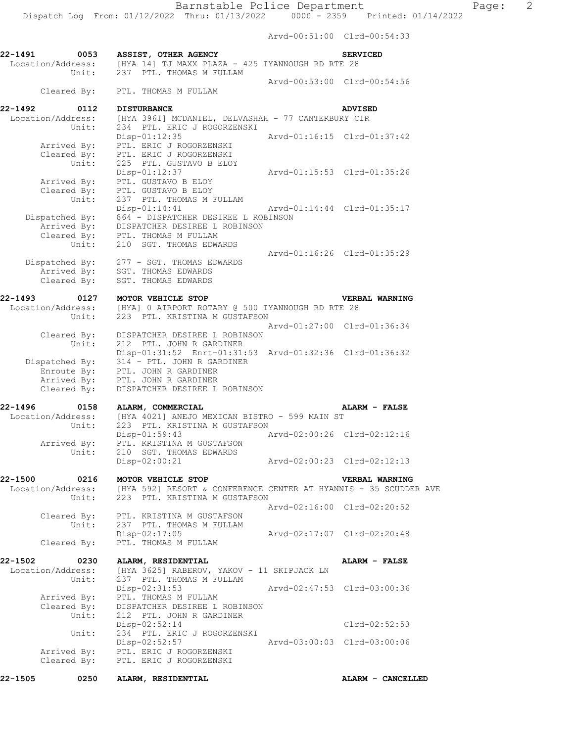Arvd-00:51:00 Clrd-00:54:33

**22-1491 0053 ASSIST, OTHER AGENCY SERVICED**  Location/Address: [HYA 14] TJ MAXX PLAZA - 425 IYANNOUGH RD RTE 28 Unit: 237 PTL. THOMAS M FULLAM Arvd-00:53:00 Clrd-00:54:56 Cleared By: PTL. THOMAS M FULLAM **22-1492 0112 DISTURBANCE ADVISED**<br>Location/Address: [HYA 3961] MCDANIEL, DELVASHAH - 77 CANTERBURY CIR Location/Address: [HYA 3961] MCDANIEL, DELVASHAH - 77 CANTERBURY CIR Unit: 234 PTL. ERIC J ROGORZENSKI Disp-01:12:35 Arvd-01:16:15 Clrd-01:37:42 Arrived By: PTL. ERIC J ROGORZENSKI Cleared By: PTL. ERIC J ROGORZENSKI<br>Unit: 225 PTL. GUSTAVO B ELOY 225 PTL. GUSTAVO B ELOY Disp-01:12:37 Arvd-01:15:53 Clrd-01:35:26 Arrived By: PTL. GUSTAVO B ELOY Cleared By: PTL. GUSTAVO B ELOY Unit: 237 PTL. THOMAS M FULLAM<br>Disp-01:14:41 Disp-01:14:41 Arvd-01:14:44 Clrd-01:35:17 Dispatched By: 864 - DISPATCHER DESIREE L ROBINSON Arrived By: DISPATCHER DESIREE L ROBINSON Cleared By: PTL. THOMAS M FULLAM Unit: 210 SGT. THOMAS EDWARDS Arvd-01:16:26 Clrd-01:35:29 Dispatched By: 277 - SGT. THOMAS EDWARDS Arrived By: SGT. THOMAS EDWARDS Cleared By: SGT. THOMAS EDWARDS **22-1493 0127 MOTOR VEHICLE STOP VERBAL WARNING**  Location/Address: [HYA] 0 AIRPORT ROTARY @ 500 IYANNOUGH RD RTE 28 Unit: 223 PTL. KRISTINA M GUSTAFSON Arvd-01:27:00 Clrd-01:36:34 Cleared By: DISPATCHER DESIREE L ROBINSON Unit: 212 PTL. JOHN R GARDINER Disp-01:31:52 Enrt-01:31:53 Arvd-01:32:36 Clrd-01:36:32 Dispatched By: 314 - PTL. JOHN R GARDINER Enroute By: PTL. JOHN R GARDINER Arrived By: PTL. JOHN R GARDINER Cleared By: DISPATCHER DESIREE L ROBINSON **22-1496 0158 ALARM, COMMERCIAL ALARM - FALSE**  Location/Address: [HYA 4021] ANEJO MEXICAN BISTRO - 599 MAIN ST 223 PTL. KRISTINA M GUSTAFSON Disp-01:59:43 Arvd-02:00:26 Clrd-02:12:16 Arrived By: PTL. KRISTINA M GUSTAFSON Unit: 210 SGT. THOMAS EDWARDS Disp-02:00:21 Arvd-02:00:23 Clrd-02:12:13 **22-1500 0216 MOTOR VEHICLE STOP VERBAL WARNING**  [HYA 592] RESORT & CONFERENCE CENTER AT HYANNIS - 35 SCUDDER AVE Location/Address: [HYA 592] RESORT & CONFERENCE (Unit: 223 PTL. KRISTINA M GUSTAFSON Arvd-02:16:00 Clrd-02:20:52 Cleared By: PTL. KRISTINA M GUSTAFSON Unit: 237 PTL. THOMAS M FULLAM Disp-02:17:05 Arvd-02:17:07 Clrd-02:20:48<br>Cleared By: PTL. THOMAS M FULLAM PTL. THOMAS M FULLAM **22-1502 0230 ALARM, RESIDENTIAL ALARM - FALSE**  Location/Address: [HYA 3625] RABEROV, YAKOV - 11 SKIPJACK LN<br>Unit: 237 PTL. THOMAS M FULLAM 237 PTL. THOMAS M FULLAM Disp-02:31:53 Arvd-02:47:53 Clrd-03:00:36 Arrived By: PTL. THOMAS M FULLAM Cleared By: DISPATCHER DESIREE L ROBINSON Unit: 212 PTL. JOHN R GARDINER Disp-02:52:14 Clrd-02:52:53 Unit: 234 PTL. ERIC J ROGORZENSKI Disp-02:52:57 Arvd-03:00:03 Clrd-03:00:06 Arrived By: PTL. ERIC J ROGORZENSKI Cleared By: PTL. ERIC J ROGORZENSKI

**22-1505 0250 ALARM, RESIDENTIAL ALARM - CANCELLED**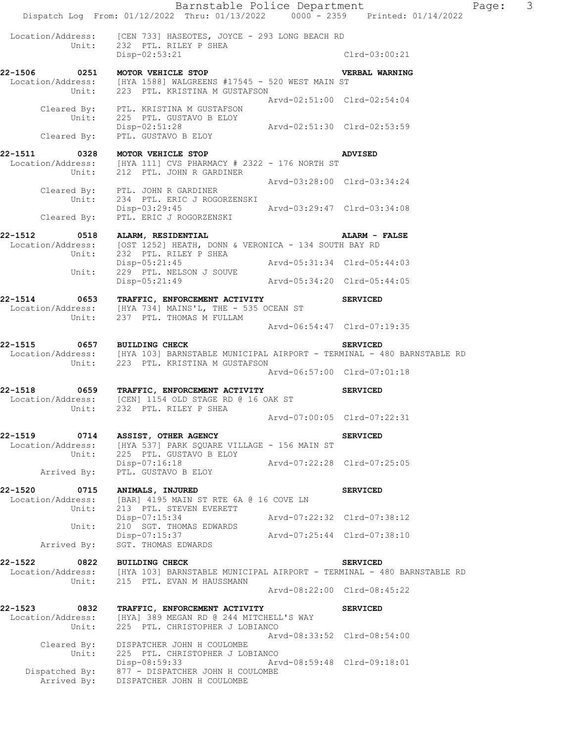Barnstable Police Department Fage: 3 Dispatch Log From: 01/12/2022 Thru: 01/13/2022 0000 - 2359 Printed: 01/14/2022 Location/Address: [CEN 733] HASEOTES, JOYCE - 293 LONG BEACH RD<br>Unit: 232 PTL. RILEY P SHEA 232 PTL. RILEY P SHEA Disp-02:53:21 Clrd-03:00:21 **22-1506 0251 MOTOR VEHICLE STOP VERBAL WARNING**  Location/Address: [HYA 1588] WALGREENS #17545 - 520 WEST MAIN ST Unit: 223 PTL. KRISTINA M GUSTAFSON Arvd-02:51:00 Clrd-02:54:04 Cleared By: PTL. KRISTINA M GUSTAFSON Unit: 225 PTL. GUSTAVO B ELOY Disp-02:51:28 Arvd-02:51:30 Clrd-02:53:59 Cleared By: PTL. GUSTAVO B ELOY **22-1511 0328 MOTOR VEHICLE STOP ADVISED**  Location/Address: [HYA 111] CVS PHARMACY # 2322 - 176 NORTH ST Unit: 212 PTL. JOHN R GARDINER Arvd-03:28:00 Clrd-03:34:24 Cleared By: PTL. JOHN R GARDINER Unit: 234 PTL. ERIC J ROGORZENSKI<br>Disp-03:29:45 Disp-03:29:45 Arvd-03:29:47 Clrd-03:34:08 Cleared By: PTL. ERIC J ROGORZENSKI **22-1512 0518 ALARM, RESIDENTIAL ALARM - FALSE**  Location/Address: [OST 1252] HEATH, DONN & VERONICA - 134 SOUTH BAY RD Unit: 232 PTL. RILEY P SHEA Disp-05:21:45 Arvd-05:31:34 Clrd-05:44:03 Unit: 229 PTL. NELSON J SOUVE Disp-05:21:49 Arvd-05:34:20 Clrd-05:44:05 **22-1514 0653 TRAFFIC, ENFORCEMENT ACTIVITY SERVICED**  Location/Address: [HYA 734] MAINS'L, THE - 535 OCEAN ST Unit: 237 PTL. THOMAS M FULLAM Arvd-06:54:47 Clrd-07:19:35 **22-1515 0657 BUILDING CHECK SERVICED**  Location/Address: [HYA 103] BARNSTABLE MUNICIPAL AIRPORT - TERMINAL - 480 BARNSTABLE RD Unit: 223 PTL. KRISTINA M GUSTAFSON Arvd-06:57:00 Clrd-07:01:18 **22-1518 0659 TRAFFIC, ENFORCEMENT ACTIVITY SERVICED**  Location/Address: [CEN] 1154 OLD STAGE RD @ 16 OAK ST Unit: 232 PTL. RILEY P SHEA Arvd-07:00:05 Clrd-07:22:31 **22-1519 0714 ASSIST, OTHER AGENCY SERVICED**<br>Location/Address: [HYA 537] PARK SQUARE VILLAGE - 156 MAIN ST Location/Address: [HYA 537] PARK SQUARE VILLAGE - 156 MAIN ST Unit: 225 PTL. GUSTAVO B ELOY Disp-07:16:18 Arvd-07:22:28 Clrd-07:25:05 Arrived By: PTL. GUSTAVO B ELOY **22-1520 0715 ANIMALS, INJURED SERVICED SERVICED**<br>
Location/Address: [BAR] 4195 MAIN ST RTE 6A @ 16 COVE LN [BAR] 4195 MAIN ST RTE 6A @ 16 COVE LN Unit: 213 PTL. STEVEN EVERETT<br>Disp-07:15:34 Disp-07:15:34 Arvd-07:22:32 Clrd-07:38:12 Unit: 210 SGT. THOMAS EDWARDS Disp-07:15:37 Arvd-07:25:44 Clrd-07:38:10 Arrived By: SGT. THOMAS EDWARDS **22-1522 0822 BUILDING CHECK SERVICED**  [HYA 103] BARNSTABLE MUNICIPAL AIRPORT - TERMINAL - 480 BARNSTABLE RD Le 1911<br>Location/Address: [HYA 103] BARNSTABLE MUNICI<br>Unit: 215 PTL. EVAN M HAUSSMANN Arvd-08:22:00 Clrd-08:45:22 **22-1523 0832 TRAFFIC, ENFORCEMENT ACTIVITY SERVICED**  Location/Address: [HYA] 389 MEGAN RD @ 244 MITCHELL'S WAY Unit: 225 PTL. CHRISTOPHER J LOBIANCO Arvd-08:33:52 Clrd-08:54:00 Cleared By: DISPATCHER JOHN H COULOMBE Unit: 225 PTL. CHRISTOPHER J LOBIANCO Disp-08:59:33 Arvd-08:59:48 Clrd-09:18:01 Dispatched By: 877 - DISPATCHER JOHN H COULOMBE Arrived By: DISPATCHER JOHN H COULOMBE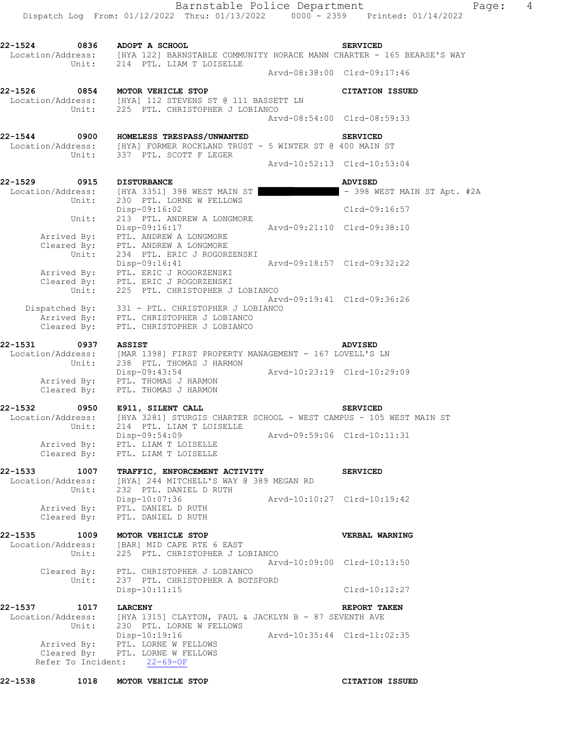Dispatch Log From: 01/12/2022 Thru: 01/13/2022 0000 - 2359 Printed: 01/14/2022 **22-1524 0836 ADOPT A SCHOOL SERVICED**  Location/Address: [HYA 122] BARNSTABLE COMMUNITY HORACE MANN CHARTER - 165 BEARSE'S WAY Unit: 214 PTL. LIAM T LOISELLE Arvd-08:38:00 Clrd-09:17:46 **22-1526 0854 MOTOR VEHICLE STOP CITATION ISSUED**  Location/Address: [HYA] 112 STEVENS ST @ 111 BASSETT LN Unit: 225 PTL. CHRISTOPHER J LOBIANCO Arvd-08:54:00 Clrd-08:59:33 **22-1544 0900 HOMELESS TRESPASS/UNWANTED SERVICED**  Location/Address: [HYA] FORMER ROCKLAND TRUST - 5 WINTER ST @ 400 MAIN ST Unit: 337 PTL. SCOTT F LEGER Arvd-10:52:13 Clrd-10:53:04 **22-1529 0915 DISTURBANCE ADVISED**  Location/Address: [HYA 3351] 398 WEST MAIN ST | The Main State Main Stapt. #2A Unit: 230 PTL. LORNE W FELLOWS Disp-09:16:02 Clrd-09:16:57 Unit: 213 PTL. ANDREW A LONGMORE Disp-09:16:17 Arvd-09:21:10 Clrd-09:38:10 Arrived By: PTL. ANDREW A LONGMORE Cleared By: PTL. ANDREW A LONGMORE Unit: 234 PTL. ERIC J ROGORZENSKI Disp-09:16:41 Arvd-09:18:57 Clrd-09:32:22 Arrived By: PTL. ERIC J ROGORZENSKI Cleared By: PTL. ERIC J ROGORZENSKI Unit: 225 PTL. CHRISTOPHER J LOBIANCO Arvd-09:19:41 Clrd-09:36:26 Dispatched By: 331 - PTL. CHRISTOPHER J LOBIANCO Arrived By: PTL. CHRISTOPHER J LOBIANCO Cleared By: PTL. CHRISTOPHER J LOBIANCO **22-1531 0937 ASSIST ADVISED**  Location/Address: [MAR 1398] FIRST PROPERTY MANAGEMENT - 167 LOVELL'S LN Unit: 238 PTL. THOMAS J HARMON Disp-09:43:54 Arvd-10:23:19 Clrd-10:29:09 Arrived By: PTL. THOMAS J HARMON Cleared By: PTL. THOMAS J HARMON **22-1532 0950 E911, SILENT CALL SERVICED**  Location/Address: [HYA 3281] STURGIS CHARTER SCHOOL - WEST CAMPUS - 105 WEST MAIN ST Unit: 214 PTL. LIAM T LOISELLE Disp-09:54:09 Arvd-09:59:06 Clrd-10:11:31 Arrived By: PTL. LIAM T LOISELLE Cleared By: PTL. LIAM T LOISELLE **22-1533 1007 TRAFFIC, ENFORCEMENT ACTIVITY SERVICED**  Location/Address: [HYA] 244 MITCHELL'S WAY @ 389 MEGAN RD Unit: 232 PTL. DANIEL D RUTH Disp-10:07:36 Arvd-10:10:27 Clrd-10:19:42 Arrived By: PTL. DANIEL D RUTH Cleared By: PTL. DANIEL D RUTH **22-1535 1009 MOTOR VEHICLE STOP VERBAL WARNING**  Location/Address: [BAR] MID CAPE RTE 6 EAST Unit: 225 PTL. CHRISTOPHER J LOBIANCO Arvd-10:09:00 Clrd-10:13:50 Cleared By: PTL. CHRISTOPHER J LOBIANCO Unit: 237 PTL. CHRISTOPHER A BOTSFORD Disp-10:11:15 Clrd-10:12:27 **22-1537 1017 LARCENY REPORT TAKEN**  Location/Address: [HYA 1315] CLAYTON, PAUL & JACKLYN B - 87 SEVENTH AVE Unit: 230 PTL. LORNE W FELLOWS Disp-10:19:16 Arvd-10:35:44 Clrd-11:02:35 Arrived By: PTL. LORNE W FELLOWS Cleared By: PTL. LORNE W FELLOWS Refer To Incident: 22-69-OF

**22-1538 1018 MOTOR VEHICLE STOP CITATION ISSUED** 

Barnstable Police Department Page: 4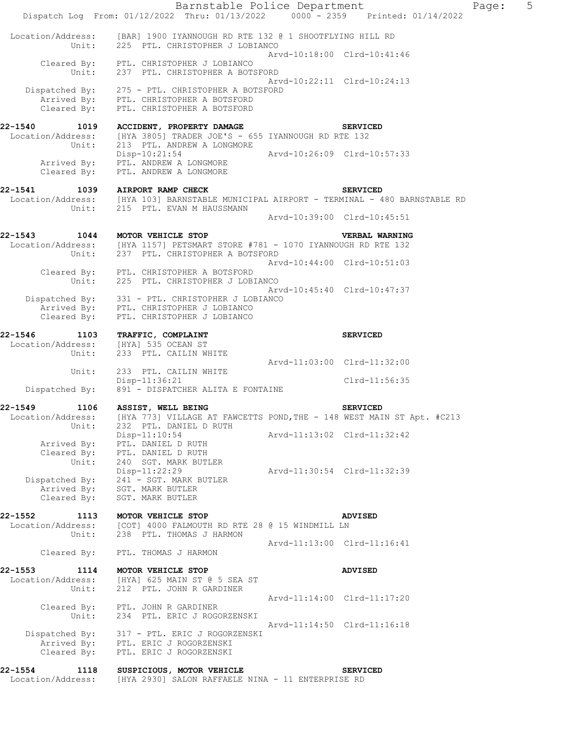|                                      | Barnstable Police Department<br>Dispatch Log From: 01/12/2022 Thru: 01/13/2022 0000 - 2359 Printed: 01/14/2022             |                             |                 | Page: | 5 |
|--------------------------------------|----------------------------------------------------------------------------------------------------------------------------|-----------------------------|-----------------|-------|---|
|                                      | Location/Address: [BAR] 1900 IYANNOUGH RD RTE 132 @ 1 SHOOTFLYING HILL RD                                                  |                             |                 |       |   |
| Unit:                                | 225 PTL. CHRISTOPHER J LOBIANCO                                                                                            | Arvd-10:18:00 Clrd-10:41:46 |                 |       |   |
| Unit:                                | Cleared By: PTL. CHRISTOPHER J LOBIANCO<br>237 PTL. CHRISTOPHER A BOTSFORD                                                 |                             |                 |       |   |
|                                      |                                                                                                                            | Arvd-10:22:11 Clrd-10:24:13 |                 |       |   |
| Cleared By:                          | Dispatched By: 275 - PTL. CHRISTOPHER A BOTSFORD<br>Arrived By: PTL. CHRISTOPHER A BOTSFORD<br>PTL. CHRISTOPHER A BOTSFORD |                             |                 |       |   |
| 22-1540                              | 1019 ACCIDENT, PROPERTY DAMAGE                                                                                             |                             | <b>SERVICED</b> |       |   |
| Location/Address:<br>Unit:           | [HYA 3805] TRADER JOE'S - 655 IYANNOUGH RD RTE 132<br>213 PTL. ANDREW A LONGMORE                                           |                             |                 |       |   |
| Arrived By:                          | $Disp-10:21:54$<br>PTL. ANDREW A LONGMORE                                                                                  | Arvd-10:26:09 Clrd-10:57:33 |                 |       |   |
| Cleared By:                          | PTL. ANDREW A LONGMORE                                                                                                     |                             |                 |       |   |
| 22-1541                              | 1039 AIRPORT RAMP CHECK                                                                                                    |                             | <b>SERVICED</b> |       |   |
| Unit:                                | Location/Address: [HYA 103] BARNSTABLE MUNICIPAL AIRPORT - TERMINAL - 480 BARNSTABLE RD<br>215 PTL. EVAN M HAUSSMANN       |                             |                 |       |   |
|                                      |                                                                                                                            | Arvd-10:39:00 Clrd-10:45:51 |                 |       |   |
| 22-1543                              | 1044 MOTOR VEHICLE STOP                                                                                                    |                             | VERBAL WARNING  |       |   |
| Unit:                                | Location/Address: [HYA 1157] PETSMART STORE #781 - 1070 IYANNOUGH RD RTE 132<br>237 PTL. CHRISTOPHER A BOTSFORD            |                             |                 |       |   |
|                                      | Cleared By: PTL. CHRISTOPHER A BOTSFORD                                                                                    | Arvd-10:44:00 Clrd-10:51:03 |                 |       |   |
| Unit:                                | 225 PTL. CHRISTOPHER J LOBIANCO                                                                                            |                             |                 |       |   |
|                                      | Dispatched By: 331 - PTL. CHRISTOPHER J LOBIANCO<br>Arrived By: PTL. CHRISTOPHER J LOBIANCO                                | Arvd-10:45:40 Clrd-10:47:37 |                 |       |   |
| Cleared By:                          | PTL. CHRISTOPHER J LOBIANCO                                                                                                |                             |                 |       |   |
| 22-1546                              | 1103 TRAFFIC, COMPLAINT                                                                                                    |                             | <b>SERVICED</b> |       |   |
| Location/Address:<br>Unit:           | [HYA] 535 OCEAN ST<br>233 PTL. CAILIN WHITE                                                                                |                             |                 |       |   |
| Unit:                                | 233 PTL. CAILIN WHITE                                                                                                      | Arvd-11:03:00 Clrd-11:32:00 |                 |       |   |
|                                      | Disp-11:36:21                                                                                                              |                             | Clrd-11:56:35   |       |   |
| Dispatched By:                       | 891 - DISPATCHER ALITA E FONTAINE                                                                                          |                             |                 |       |   |
| 22-1549<br>1106<br>Location/Address: | ASSIST, WELL BEING<br>[HYA 773] VILLAGE AT FAWCETTS POND, THE - 148 WEST MAIN ST Apt. #C213                                |                             | <b>SERVICED</b> |       |   |
| Unit:                                | 232 PTL. DANIEL D RUTH<br>$Disp-11:10:54$                                                                                  | Arvd-11:13:02 Clrd-11:32:42 |                 |       |   |
| Arrived By:                          | PTL. DANIEL D RUTH                                                                                                         |                             |                 |       |   |
| Cleared By:<br>Unit:                 | PTL. DANIEL D RUTH<br>240 SGT. MARK BUTLER                                                                                 |                             |                 |       |   |
| Dispatched By:                       | Disp-11:22:29<br>241 - SGT. MARK BUTLER                                                                                    | Arvd-11:30:54 Clrd-11:32:39 |                 |       |   |
| Arrived By:<br>Cleared By:           | SGT. MARK BUTLER<br>SGT. MARK BUTLER                                                                                       |                             |                 |       |   |
|                                      |                                                                                                                            |                             |                 |       |   |
| 22-1552<br>1113<br>Location/Address: | MOTOR VEHICLE STOP<br>[COT] 4000 FALMOUTH RD RTE 28 @ 15 WINDMILL LN                                                       |                             | ADVISED         |       |   |
| Unit:                                | 238 PTL. THOMAS J HARMON                                                                                                   | Arvd-11:13:00 Clrd-11:16:41 |                 |       |   |
| Cleared By:                          | PTL. THOMAS J HARMON                                                                                                       |                             |                 |       |   |
| 22-1553<br>Location/Address:         | 1114 MOTOR VEHICLE STOP<br>[HYA] 625 MAIN ST @ 5 SEA ST                                                                    |                             | ADVISED         |       |   |
| Unit:                                | 212 PTL. JOHN R GARDINER                                                                                                   |                             |                 |       |   |
|                                      | Cleared By: PTL. JOHN R GARDINER                                                                                           | Arvd-11:14:00 Clrd-11:17:20 |                 |       |   |
| Unit:                                | 234 PTL. ERIC J ROGORZENSKI                                                                                                | Arvd-11:14:50 Clrd-11:16:18 |                 |       |   |
| Dispatched By:                       | 317 - PTL. ERIC J ROGORZENSKI<br>Arrived By: PTL. ERIC J ROGORZENSKI                                                       |                             |                 |       |   |
| Cleared By:                          | PTL. ERIC J ROGORZENSKI                                                                                                    |                             |                 |       |   |
| 22-1554<br>1118                      | SUSPICIOUS, MOTOR VEHICLE                                                                                                  |                             | <b>SERVICED</b> |       |   |
| Location/Address:                    | [HYA 2930] SALON RAFFAELE NINA - 11 ENTERPRISE RD                                                                          |                             |                 |       |   |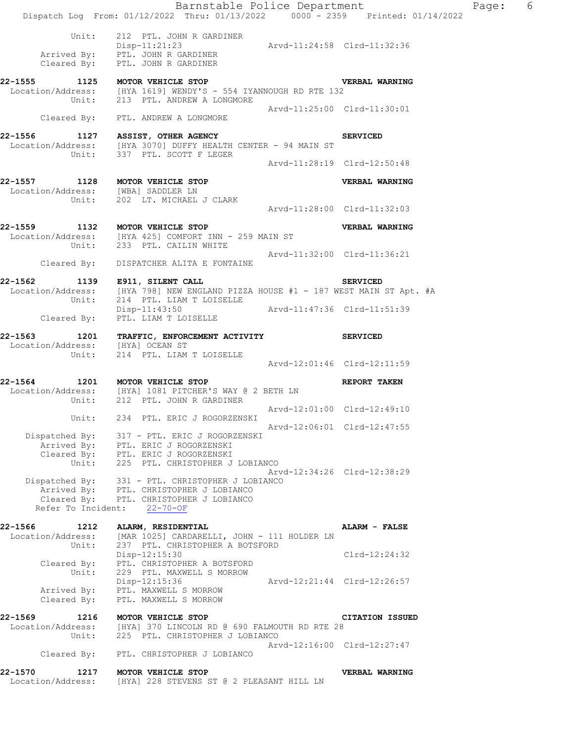| 22-1570<br>Location/Address: | 1217 MOTOR VEHICLE STOP<br>[HYA] 228 STEVENS ST @ 2 PLEASANT HILL LN                                                                                                  |                             | VERBAL WARNING                        |   |
|------------------------------|-----------------------------------------------------------------------------------------------------------------------------------------------------------------------|-----------------------------|---------------------------------------|---|
|                              | Cleared By: PTL. CHRISTOPHER J LOBIANCO                                                                                                                               |                             | Arvd-12:16:00 Clrd-12:27:47           |   |
| 22-1569 1216<br>Unit:        | MOTOR VEHICLE STOP<br>Location/Address: [HYA] 370 LINCOLN RD @ 690 FALMOUTH RD RTE 28<br>225 PTL. CHRISTOPHER J LOBIANCO                                              |                             | CITATION ISSUED                       |   |
| Arrived By:<br>Cleared By:   | PTL. MAXWELL S MORROW<br>PTL. MAXWELL S MORROW                                                                                                                        |                             |                                       |   |
| Cleared By:<br>Unit:         | PTL. CHRISTOPHER A BOTSFORD<br>229 PTL. MAXWELL S MORROW<br>Disp-12:15:36                                                                                             |                             | Arvd-12:21:44 Clrd-12:26:57           |   |
| Unit:                        | Location/Address: [MAR 1025] CARDARELLI, JOHN - 111 HOLDER LN<br>237 PTL. CHRISTOPHER A BOTSFORD<br>Disp-12:15:30                                                     |                             | Clrd-12:24:32                         |   |
| 22-1566 1212                 | ALARM, RESIDENTIAL                                                                                                                                                    |                             | ALARM - FALSE                         |   |
|                              | Dispatched By: 331 - PTL. CHRISTOPHER J LOBIANCO<br>Arrived By: PTL. CHRISTOPHER J LOBIANCO<br>Cleared By: PTL. CHRISTOPHER J LOBIANCO<br>Refer To Incident: 22-70-OF |                             | Arvd-12:34:26 Clrd-12:38:29           |   |
|                              | Dispatched By: 317 - PTL. ERIC J ROGORZENSKI<br>Arrived By: PTL. ERIC J ROGORZENSKI<br>Cleared By: PTL. ERIC J ROGORZENSKI<br>Unit: 225 PTL. CHRISTOPHER J LOBIANCO   |                             |                                       |   |
| Unit:                        | 234 PTL. ERIC J ROGORZENSKI                                                                                                                                           |                             | Arvd-12:06:01 Clrd-12:47:55           |   |
|                              | Unit: 212 PTL. JOHN R GARDINER                                                                                                                                        | Arvd-12:01:00 Clrd-12:49:10 |                                       |   |
|                              | 22-1564 1201 MOTOR VEHICLE STOP<br>Location/Address: [HYA] 1081 PITCHER'S WAY @ 2 BETH LN                                                                             |                             | <b>REPORT TAKEN</b>                   |   |
|                              | Location/Address: [HYA] OCEAN ST<br>Unit: 214 PTL. LIAM T LOISELLE                                                                                                    | Arvd-12:01:46 Clrd-12:11:59 |                                       |   |
|                              | 22-1563 1201 TRAFFIC, ENFORCEMENT ACTIVITY SERVICED                                                                                                                   |                             |                                       |   |
|                              | Unit: 214 PTL. LIAM T LOISELLE<br>Disp-11:43:50<br>Arvd-11:47:36 Clrd-11:51:39<br>Cleared By: PTL. LIAM T LOISELLE                                                    |                             |                                       |   |
|                              | 22-1562 1139 E911, SILENT CALL 22-1562 SERVICED<br>Location/Address: [HYA 798] NEW ENGLAND PIZZA HOUSE #1 - 187 WEST MAIN ST Apt. #A                                  |                             |                                       |   |
|                              | Cleared By: DISPATCHER ALITA E FONTAINE                                                                                                                               | Arvd-11:32:00 Clrd-11:36:21 |                                       |   |
|                              | Location/Address: [HYA 425] COMFORT INN - 259 MAIN ST<br>Unit: 233 PTL. CAILIN WHITE                                                                                  |                             |                                       |   |
|                              | 22-1559 1132 MOTOR VEHICLE STOP                                                                                                                                       |                             | VERBAL WARNING                        |   |
|                              | 22-1557 1128 MOTOR VEHICLE STOP<br>Location/Address: [WBA] SADDLER LN<br>Unit: 202 LT. MICHAEL J CLARK                                                                | Arvd-11:28:00 Clrd-11:32:03 |                                       |   |
|                              |                                                                                                                                                                       | Arvd-11:28:19 Clrd-12:50:48 | VERBAL WARNING                        |   |
|                              | 22-1556 1127 ASSIST, OTHER AGENCY Location/Address: [HYA 3070] DUFFY HEALTH CENTER - 94 MAIN ST Unit: 337 PTL. SCOTT F LEGER                                          |                             | <b>SERVICED</b>                       |   |
|                              | Cleared By: PTL. ANDREW A LONGMORE                                                                                                                                    |                             |                                       |   |
|                              | 22-1555 1125 MOTOR VEHICLE STOP<br>Location/Address: [HYA 1619] WENDY'S - 554 IYANNOUGH RD RTE 132<br>Unit: 213 PTL. ANDREW A LONGMORE                                | Arvd-11:25:00 Clrd-11:30:01 | <b>VERBAL WARNING</b>                 |   |
|                              | Cleared By: PTL. JOHN R GARDINER                                                                                                                                      |                             |                                       |   |
|                              | Unit: 212 PTL. JOHN R GARDINER<br>Disp-11:21:23 Arvd-11:24:58 Clrd-11:32:36<br>Arrived By: PTL. JOHN R GARDINER                                                       |                             |                                       |   |
|                              | Dispatch Log From: 01/12/2022 Thru: 01/13/2022 0000 - 2359 Printed: 01/14/2022                                                                                        |                             | Barnstable Police Department<br>Page: | 6 |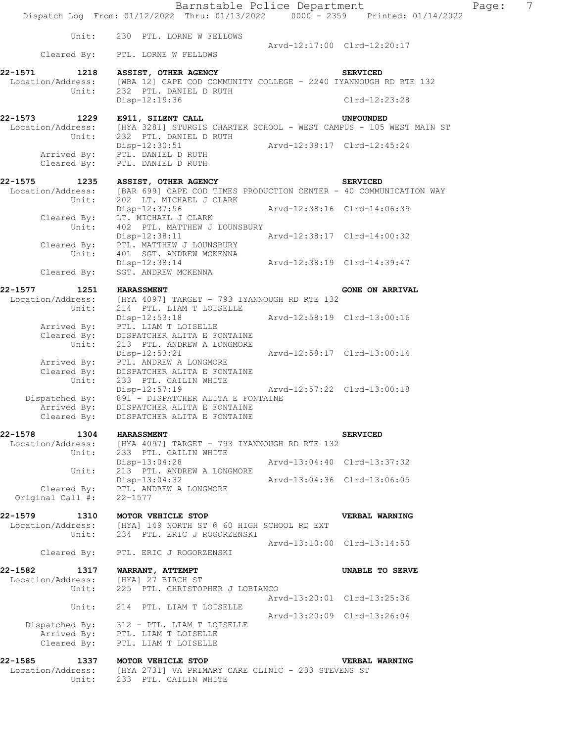|                              | Barnstable Police Department<br>Dispatch Log From: 01/12/2022 Thru: 01/13/2022 0000 - 2359 Printed: 01/14/2022 |                             |                             |
|------------------------------|----------------------------------------------------------------------------------------------------------------|-----------------------------|-----------------------------|
| Unit:                        | 230 PTL. LORNE W FELLOWS                                                                                       |                             | Arvd-12:17:00 Clrd-12:20:17 |
| Cleared By:                  | PTL. LORNE W FELLOWS                                                                                           |                             |                             |
| 22-1571<br>1218              | ASSIST, OTHER AGENCY                                                                                           |                             | <b>SERVICED</b>             |
| Location/Address:            | [WBA 12] CAPE COD COMMUNITY COLLEGE - 2240 IYANNOUGH RD RTE 132                                                |                             |                             |
| Unit:                        | 232 PTL. DANIEL D RUTH<br>Disp-12:19:36                                                                        |                             | Clrd-12:23:28               |
|                              |                                                                                                                |                             |                             |
| 22-1573<br>1229              | E911, SILENT CALL                                                                                              |                             | <b>UNFOUNDED</b>            |
| Location/Address:            | [HYA 3281] STURGIS CHARTER SCHOOL - WEST CAMPUS - 105 WEST MAIN ST                                             |                             |                             |
| Unit:                        | 232 PTL. DANIEL D RUTH<br>$Disp-12:30:51$                                                                      |                             |                             |
|                              | Arrived By: PTL. DANIEL D RUTH                                                                                 |                             |                             |
| Cleared By:                  | PTL. DANIEL D RUTH                                                                                             |                             |                             |
| 22-1575<br>1235              | ASSIST, OTHER AGENCY                                                                                           |                             | <b>SERVICED</b>             |
| Location/Address:            | [BAR 699] CAPE COD TIMES PRODUCTION CENTER - 40 COMMUNICATION WAY                                              |                             |                             |
| Unit:                        | 202 LT. MICHAEL J CLARK                                                                                        |                             |                             |
| Cleared By:                  | Disp-12:37:56<br>LT. MICHAEL J CLARK                                                                           | Arvd-12:38:16 Clrd-14:06:39 |                             |
| Unit:                        | 402 PTL. MATTHEW J LOUNSBURY                                                                                   |                             |                             |
|                              | Disp-12:38:11                                                                                                  | Arvd-12:38:17 Clrd-14:00:32 |                             |
| Cleared By:                  | PTL. MATTHEW J LOUNSBURY                                                                                       |                             |                             |
| Unit:                        | 401 SGT. ANDREW MCKENNA<br>Disp-12:38:14                                                                       | Arvd-12:38:19 Clrd-14:39:47 |                             |
| Cleared By:                  | SGT. ANDREW MCKENNA                                                                                            |                             |                             |
| 22-1577                      |                                                                                                                |                             |                             |
| 1251<br>Location/Address:    | <b>HARASSMENT</b><br>[HYA 4097] TARGET - 793 IYANNOUGH RD RTE 132                                              |                             | <b>GONE ON ARRIVAL</b>      |
| Unit:                        | 214 PTL. LIAM T LOISELLE                                                                                       |                             |                             |
|                              | Disp-12:53:18                                                                                                  | Arvd-12:58:19 Clrd-13:00:16 |                             |
| Arrived By:<br>Cleared By:   | PTL. LIAM T LOISELLE<br>DISPATCHER ALITA E FONTAINE                                                            |                             |                             |
| Unit:                        | 213 PTL. ANDREW A LONGMORE                                                                                     |                             |                             |
|                              | $Disp-12:53:21$                                                                                                | Arvd-12:58:17 Clrd-13:00:14 |                             |
| Arrived By:<br>Cleared By:   | PTL. ANDREW A LONGMORE<br>DISPATCHER ALITA E FONTAINE                                                          |                             |                             |
| Unit:                        | 233 PTL. CAILIN WHITE                                                                                          |                             |                             |
|                              | $Disp-12:57:19$<br>Dispatched By: 891 - DISPATCHER ALITA E FONTAINE                                            | Arvd-12:57:22 Clrd-13:00:18 |                             |
| Arrived By:                  | DISPATCHER ALITA E FONTAINE                                                                                    |                             |                             |
| Cleared By:                  | DISPATCHER ALITA E FONTAINE                                                                                    |                             |                             |
| 22-1578<br>1304              | <b>HARASSMENT</b>                                                                                              |                             | <b>SERVICED</b>             |
| Location/Address:            | [HYA 4097] TARGET - 793 IYANNOUGH RD RTE 132                                                                   |                             |                             |
| Unit:                        | 233 PTL. CAILIN WHITE                                                                                          |                             |                             |
|                              | Disp-13:04:28                                                                                                  | Arvd-13:04:40 Clrd-13:37:32 |                             |
| Unit:                        | 213 PTL. ANDREW A LONGMORE<br>$Disp-13:04:32$                                                                  | Arvd-13:04:36 Clrd-13:06:05 |                             |
| Cleared By:                  | PTL. ANDREW A LONGMORE                                                                                         |                             |                             |
| Original Call #:             | $22 - 1577$                                                                                                    |                             |                             |
| 22-1579                      | 1310 MOTOR VEHICLE STOP                                                                                        |                             | VERBAL WARNING              |
| Location/Address:            | [HYA] 149 NORTH ST @ 60 HIGH SCHOOL RD EXT                                                                     |                             |                             |
| Unit:                        | 234 PTL. ERIC J ROGORZENSKI                                                                                    |                             |                             |
|                              | Cleared By: PTL. ERIC J ROGORZENSKI                                                                            |                             | Arvd-13:10:00 Clrd-13:14:50 |
|                              |                                                                                                                |                             |                             |
| 22-1582<br>Location/Address: | 1317 WARRANT, ATTEMPT<br>[HYA] 27 BIRCH ST                                                                     |                             | UNABLE TO SERVE             |
| Unit:                        | 225 PTL. CHRISTOPHER J LOBIANCO                                                                                |                             |                             |
|                              |                                                                                                                |                             | Arvd-13:20:01 Clrd-13:25:36 |
| Unit:                        | 214 PTL. LIAM T LOISELLE                                                                                       | Arvd-13:20:09 Clrd-13:26:04 |                             |
| Dispatched By:               | 312 - PTL. LIAM T LOISELLE                                                                                     |                             |                             |
|                              | Arrived By: PTL. LIAM T LOISELLE                                                                               |                             |                             |
| Cleared By:                  | PTL. LIAM T LOISELLE                                                                                           |                             |                             |
| 22-1585                      | 1337 MOTOR VEHICLE STOP                                                                                        |                             | <b>VERBAL WARNING</b>       |
| Location/Address:            | [HYA 2731] VA PRIMARY CARE CLINIC - 233 STEVENS ST                                                             |                             |                             |
| Unit:                        | 233 PTL. CAILIN WHITE                                                                                          |                             |                             |

Page: 7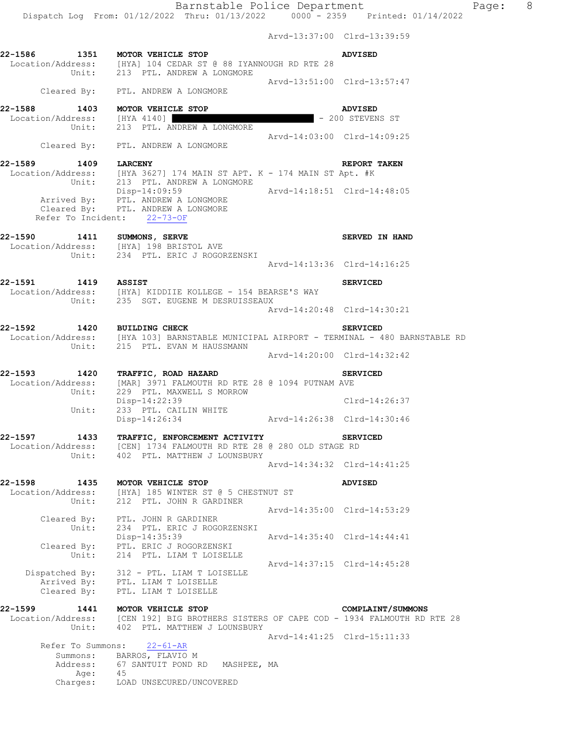Dispatch Log From: 01/12/2022 Thru: 01/13/2022 0000 - 2359 Printed: 01/14/2022

 Arvd-13:37:00 Clrd-13:39:59 **22-1586 1351 MOTOR VEHICLE STOP ADVISED**  Location/Address: [HYA] 104 CEDAR ST @ 88 IYANNOUGH RD RTE 28 Unit: 213 PTL. ANDREW A LONGMORE Arvd-13:51:00 Clrd-13:57:47 Cleared By: PTL. ANDREW A LONGMORE **22-1588 1403 MOTOR VEHICLE STOP ADVISED**<br>
Location/Address: [HYA 4140] Unit: 213 PTL. ANDREW A LONGMORE  $\begin{array}{r} \text{ADVISED} \\ \text{Unit:} \end{array}$  - 200 STEVEN [HYA 4140]  $-$  200 STEVENS ST 213 PTL. ANDREW A LONGMORE Arvd-14:03:00 Clrd-14:09:25 Cleared By: PTL. ANDREW A LONGMORE **22-1589 1409 LARCENY REPORT TAKEN**  Location/Address: [HYA 3627] 174 MAIN ST APT. K - 174 MAIN ST Apt. #K Unit: 213 PTL. ANDREW A LONGMORE Disp-14:09:59 Arvd-14:18:51 Clrd-14:48:05 Arrived By: PTL. ANDREW A LONGMORE Cleared By: PTL. ANDREW A LONGMORE Refer To Incident: 22-73-OF 22-1590 1411 SUMMONS, SERVE **SERVE SERVED IN HAND**  Location/Address: [HYA] 198 BRISTOL AVE Unit: 234 PTL. ERIC J ROGORZENSKI Arvd-14:13:36 Clrd-14:16:25 **22-1591 1419 ASSIST SERVICED**  Location/Address: [HYA] KIDDIIE KOLLEGE - 154 BEARSE'S WAY Unit: 235 SGT. EUGENE M DESRUISSEAUX Arvd-14:20:48 Clrd-14:30:21 **22-1592 1420 BUILDING CHECK SERVICED**  Location/Address: [HYA 103] BARNSTABLE MUNICIPAL AIRPORT - TERMINAL - 480 BARNSTABLE RD Unit: 215 PTL. EVAN M HAUSSMANN Arvd-14:20:00 Clrd-14:32:42 **22-1593 1420 TRAFFIC, ROAD HAZARD SERVICED**  Location/Address: [MAR] 3971 FALMOUTH RD RTE 28 @ 1094 PUTNAM AVE Unit: 229 PTL. MAXWELL S MORROW Disp-14:22:39 Clrd-14:26:37 Unit: 233 PTL. CAILIN WHITE Disp-14:26:34 Arvd-14:26:38 Clrd-14:30:46 **22-1597 1433 TRAFFIC, ENFORCEMENT ACTIVITY SERVICED**  Location/Address: [CEN] 1734 FALMOUTH RD RTE 28 @ 280 OLD STAGE RD Unit: 402 PTL. MATTHEW J LOUNSBURY Arvd-14:34:32 Clrd-14:41:25 **22-1598 1435 MOTOR VEHICLE STOP ADVISED**  Location/Address: [HYA] 185 WINTER ST @ 5 CHESTNUT ST Unit: 212 PTL. JOHN R GARDINER Arvd-14:35:00 Clrd-14:53:29 Cleared By: PTL. JOHN R GARDINER Unit: 234 PTL. ERIC J ROGORZENSKI Disp-14:35:39 Arvd-14:35:40 Clrd-14:44:41 Cleared By: PTL. ERIC J ROGORZENSKI Unit: 214 PTL. LIAM T LOISELLE Arvd-14:37:15 Clrd-14:45:28<br>312 - PTL. LIAM T LOISELLE Dispatched By: 312 - PTL. LIAM T LOISELLE Arrived By: PTL. LIAM T LOISELLE Cleared By: PTL. LIAM T LOISELLE **22-1599 1441 MOTOR VEHICLE STOP COMPLAINT/SUMMONS**  Location/Address: [CEN 192] BIG BROTHERS SISTERS OF CAPE COD - 1934 FALMOUTH RD RTE 28 Unit: 402 PTL. MATTHEW J LOUNSBURY Arvd-14:41:25 Clrd-15:11:33<br>22-61-AR Refer To Summons: Summons: BARROS, FLAVIO M Address: 67 SANTUIT POND RD MASHPEE, MA Age: 45<br>Charges: LOP LOAD UNSECURED/UNCOVERED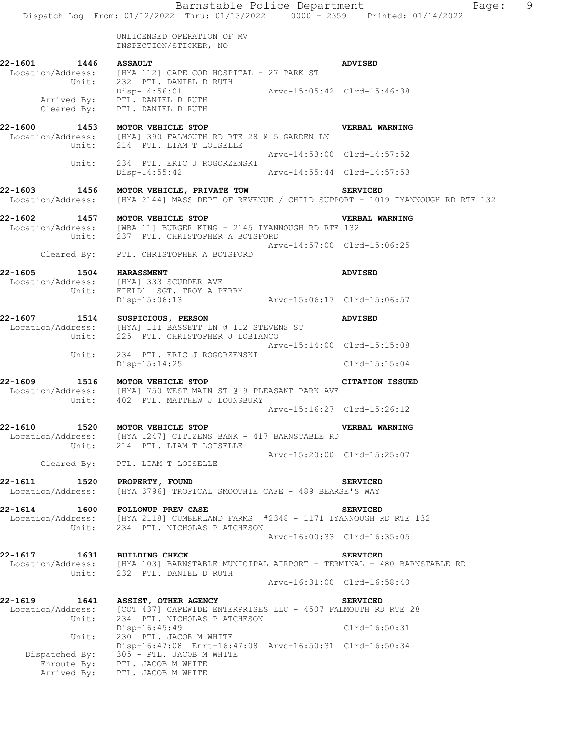Barnstable Police Department Page: 9 Dispatch Log From: 01/12/2022 Thru: 01/13/2022 0000 - 2359 Printed: 01/14/2022 UNLICENSED OPERATION OF MV INSPECTION/STICKER, NO **22-1601 1446 ASSAULT ADVISED**  Location/Address: [HYA 112] CAPE COD HOSPITAL - 27 PARK ST Unit: 232 PTL. DANIEL D RUTH Disp-14:56:01 Arvd-15:05:42 Clrd-15:46:38 Arrived By: PTL. DANIEL D RUTH Cleared By: PTL. DANIEL D RUTH **22-1600 1453 MOTOR VEHICLE STOP VERBAL WARNING**  Location/Address: [HYA] 390 FALMOUTH RD RTE 28 @ 5 GARDEN LN Unit: 214 PTL. LIAM T LOISELLE Arvd-14:53:00 Clrd-14:57:52 Unit: 234 PTL. ERIC J ROGORZENSKI Disp-14:55:42 Arvd-14:55:44 Clrd-14:57:53 **22-1603 1456 MOTOR VEHICLE, PRIVATE TOW SERVICED**  Location/Address: [HYA 2144] MASS DEPT OF REVENUE / CHILD SUPPORT - 1019 IYANNOUGH RD RTE 132 **22-1602 1457 MOTOR VEHICLE STOP VERBAL WARNING**  Location/Address: [WBA 11] BURGER KING - 2145 IYANNOUGH RD RTE 132 Unit: 237 PTL. CHRISTOPHER A BOTSFORD Arvd-14:57:00 Clrd-15:06:25 Cleared By: PTL. CHRISTOPHER A BOTSFORD **22-1605 1504 HARASSMENT ADVISED**  Location/Address: [HYA] 333 SCUDDER AVE Unit: FIELD1 SGT. TROY A PERRY Disp-15:06:13 Arvd-15:06:17 Clrd-15:06:57 **22-1607 1514 SUSPICIOUS, PERSON ADVISED**  Location/Address: [HYA] 111 BASSETT LN @ 112 STEVENS ST Unit: 225 PTL. CHRISTOPHER J LOBIANCO Arvd-15:14:00 Clrd-15:15:08<br>
Init: 234 PTL ERIC J BOGOBZENSKI 234 PTL. ERIC J ROGORZENSKI Disp-15:14:25 Clrd-15:15:04 **22-1609 1516 MOTOR VEHICLE STOP CITATION ISSUED**  Location/Address: [HYA] 750 WEST MAIN ST @ 9 PLEASANT PARK AVE Unit: 402 PTL. MATTHEW J LOUNSBURY Arvd-15:16:27 Clrd-15:26:12 **22-1610 1520 MOTOR VEHICLE STOP VERBAL WARNING**  Location/Address: [HYA 1247] CITIZENS BANK - 417 BARNSTABLE RD Unit: 214 PTL. LIAM T LOISELLE Arvd-15:20:00 Clrd-15:25:07 Cleared By: PTL. LIAM T LOISELLE **22-1611 1520 PROPERTY, FOUND SERVICED**  Location/Address: [HYA 3796] TROPICAL SMOOTHIE CAFE - 489 BEARSE'S WAY **22-1614 1600 FOLLOWUP PREV CASE SERVICED**  Location/Address: [HYA 2118] CUMBERLAND FARMS #2348 - 1171 IYANNOUGH RD RTE 132 Unit: 234 PTL. NICHOLAS P ATCHESON Arvd-16:00:33 Clrd-16:35:05 **22-1617 1631 BUILDING CHECK SERVICED**<br>Location/Address: [HYA 103] BARNSTABLE MUNICIPAL AIRPORT - TERMINAL - 4 [HYA 103] BARNSTABLE MUNICIPAL AIRPORT - TERMINAL - 480 BARNSTABLE RD Unit: 232 PTL. DANIEL D RUTH Arvd-16:31:00 Clrd-16:58:40 **22-1619 1641 ASSIST, OTHER AGENCY SERVICED**  Location/Address: [COT 437] CAPEWIDE ENTERPRISES LLC - 4507 FALMOUTH RD RTE 28<br>Unit: 234 PTL. NICHOLAS P ATCHESON 234 PTL. NICHOLAS P ATCHESON Disp-16:45:49 Clrd-16:50:31 Unit: 230 PTL. JACOB M WHITE Disp-16:47:08 Enrt-16:47:08 Arvd-16:50:31 Clrd-16:50:34 Dispatched By: 305 - PTL. JACOB M WHITE Enroute By: PTL. JACOB M WHITE

Arrived By: PTL. JACOB M WHITE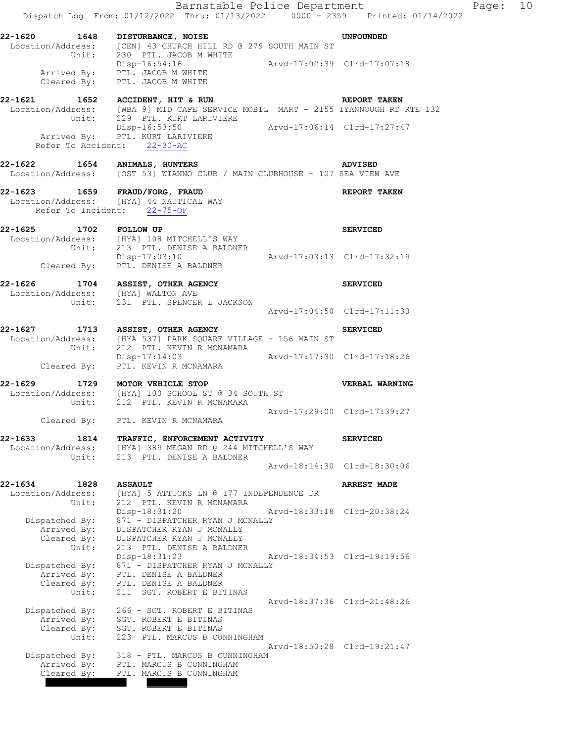|                                                                | Dispatch Log From: 01/12/2022 Thru: 01/13/2022 0000 - 2359 Printed: 01/14/2022                                                                         |                             | Barnstable Police Department | Page: 10 |  |
|----------------------------------------------------------------|--------------------------------------------------------------------------------------------------------------------------------------------------------|-----------------------------|------------------------------|----------|--|
|                                                                | 22-1620 1648 DISTURBANCE, NOISE<br>Location/Address: [CEN] 43 CHURCH HILL RD @ 279 SOUTH MAIN ST<br>Unit: 230 PTL. JACOB M WHITE                       |                             | <b>UNFOUNDED</b>             |          |  |
|                                                                | Disp-16:54:16<br>Arvd-17:02:39 Clrd-17:07:18<br>Cleared By: PTL. JACOB M WHITE<br>Cleared By: PTL. JACOB M WHITE                                       |                             |                              |          |  |
|                                                                | 22-1621 1652 ACCIDENT, HIT & RUN<br>Location/Address: [WBA 9] MID CAPE SERVICE MOBIL MART - 2155 IYANNOUGH RD RTE 132<br>Unit: 229 PTL. KURT LARIVIERE |                             | REPORT TAKEN                 |          |  |
|                                                                | Disp-16:53:50<br>Arvd-17:06:14 Clrd-17:27:47<br>Arrived By: PTL. KURT LARIVIERE<br>Refer To Accident: 22-30-AC                                         |                             |                              |          |  |
|                                                                | 22-1622 1654 ANIMALS, HUNTERS<br>Location/Address: [OST 53] WIANNO CLUB / MAIN CLUBHOUSE - 107 SEA VIEW AVE                                            |                             |                              |          |  |
| Refer To Incident: 22-75-OF                                    | 22-1623 1659 FRAUD/FORG, FRAUD<br>Location/Address: [HYA] 44 NAUTICAL WAY<br>                                                                          |                             |                              |          |  |
| 22-1625 1702 FOLLOW UP                                         | Location/Address: [HYA] 108 MITCHELL'S WAY                                                                                                             |                             | <b>SERVICED</b>              |          |  |
|                                                                | Unit: 213 PTL. DENISE A BALDNER<br>Disp-17:03:10 Arvd-17:03:13 Clrd-17:32:19<br>Cleared By: PTL. DENISE A BALDNER                                      |                             |                              |          |  |
|                                                                | 22-1626 1704 ASSIST, OTHER AGENCY<br>Location/Address: [HYA] WALTON AVE<br>Unit: 231 PTL. SPENCER L JACKSON                                            |                             | <b>SERVICED</b>              |          |  |
|                                                                |                                                                                                                                                        | Arvd-17:04:50 Clrd-17:11:30 |                              |          |  |
|                                                                | 22-1627 1713 ASSIST, OTHER AGENCY<br>Location/Address: [HYA 537] PARK SQUARE VILLAGE - 156 MAIN ST<br>Unit: 212 PTL. KEVIN R MCNAMARA                  |                             | <b>SERVICED</b>              |          |  |
|                                                                | Disp-17:14:03 Arvd-17:17:30 Clrd-17:18:26<br>Cleared By: PTL. KEVIN R MCNAMARA                                                                         |                             |                              |          |  |
|                                                                | 22-1629 1729 MOTOR VEHICLE STOP<br>Location/Address: [HYA] 100 SCHOOL ST @ 34 SOUTH ST<br>Unit: 212 PTL. KEVIN R MCNAMARA                              |                             | VERBAL WARNING               |          |  |
|                                                                | Cleared By: PTL. KEVIN R MCNAMARA                                                                                                                      | Arvd-17:29:00 Clrd-17:39:27 |                              |          |  |
| 22-1633<br>1814<br>Location/Address:<br>Unit:                  | TRAFFIC, ENFORCEMENT ACTIVITY<br>[HYA] 389 MEGAN RD @ 244 MITCHELL'S WAY<br>213 PTL. DENISE A BALDNER                                                  |                             | <b>SERVICED</b>              |          |  |
|                                                                |                                                                                                                                                        |                             | Arvd-18:14:30 Clrd-18:30:06  |          |  |
| 22-1634<br>1828<br>Location/Address:<br>Unit:                  | <b>ASSAULT</b><br>[HYA] 5 ATTUCKS LN @ 177 INDEPENDENCE DR<br>212 PTL. KEVIN R MCNAMARA                                                                |                             | <b>ARREST MADE</b>           |          |  |
| Dispatched By:<br>Arrived By:<br>Cleared By:                   | Disp-18:31:20<br>871 - DISPATCHER RYAN J MCNALLY<br>DISPATCHER RYAN J MCNALLY<br>DISPATCHER RYAN J MCNALLY                                             | Arvd-18:33:18 Clrd-20:38:24 |                              |          |  |
| Unit:<br>Dispatched By:<br>Arrived By:<br>Cleared By:          | 213 PTL. DENISE A BALDNER<br>Disp-18:31:23<br>871 - DISPATCHER RYAN J MCNALLY<br>PTL. DENISE A BALDNER<br>PTL. DENISE A BALDNER                        | Arvd-18:34:53 Clrd-19:19:56 |                              |          |  |
| Unit:<br>Dispatched By:<br>Arrived By:<br>Cleared By:<br>Unit: | 211 SGT. ROBERT E BITINAS<br>266 - SGT. ROBERT E BITINAS<br>SGT. ROBERT E BITINAS<br>SGT. ROBERT E BITINAS<br>223 PTL. MARCUS B CUNNINGHAM             |                             | Arvd-18:37:36 Clrd-21:48:26  |          |  |
| Dispatched By:<br>Arrived By:<br>Cleared By:                   | 318 - PTL. MARCUS B CUNNINGHAM<br>PTL. MARCUS B CUNNINGHAM<br>PTL. MARCUS B CUNNINGHAM                                                                 |                             | Arvd-18:50:28 Clrd-19:21:47  |          |  |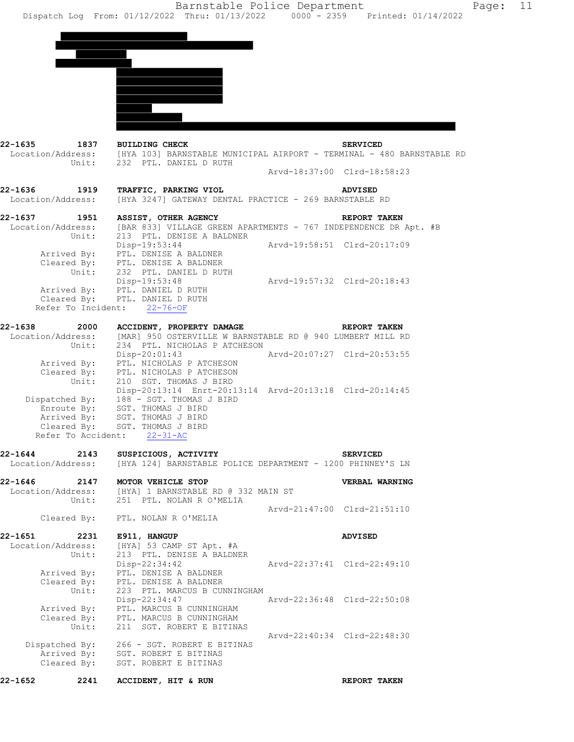| 22-1635                              | 1837 BUILDING CHECK<br>Location/Address: [HYA 103] BARNSTABLE MUNICIPAL AIRPORT - TERMINAL - 480 BARNSTABLE RD                |                             | <b>SERVICED</b>             |
|--------------------------------------|-------------------------------------------------------------------------------------------------------------------------------|-----------------------------|-----------------------------|
| Unit:                                | 232 PTL. DANIEL D RUTH                                                                                                        | Arvd-18:37:00 Clrd-18:58:23 |                             |
| 22-1636<br>1919<br>Location/Address: | TRAFFIC, PARKING VIOL<br>[HYA 3247] GATEWAY DENTAL PRACTICE - 269 BARNSTABLE RD                                               |                             | <b>ADVISED</b>              |
| 22-1637                              | 1951<br>ASSIST, OTHER AGENCY                                                                                                  |                             | REPORT TAKEN                |
| Unit:                                | Location/Address: [BAR 833] VILLAGE GREEN APARTMENTS - 767 INDEPENDENCE DR Apt. #B<br>213 PTL. DENISE A BALDNER               |                             |                             |
|                                      | Disp-19:53:44<br>Arrived By: PTL. DENISE A BALDNER<br>Cleared By: PTL. DENISE A BALDNER                                       |                             | Arvd-19:58:51 Clrd-20:17:09 |
|                                      | Unit: 232 PTL. DANIEL D RUTH<br>Disp-19:53:48<br>Arrived By: PTL. DANIEL D RUTH                                               | Arvd-19:57:32 Clrd-20:18:43 |                             |
| Cleared By:                          | PTL. DANIEL D RUTH<br>Refer To Incident: 22-76-OF                                                                             |                             |                             |
| 22-1638                              | 2000 ACCIDENT, PROPERTY DAMAGE                                                                                                |                             | <b>REPORT TAKEN</b>         |
| Unit:                                | Location/Address: [MAR] 950 OSTERVILLE W BARNSTABLE RD @ 940 LUMBERT MILL RD<br>234 PTL. NICHOLAS P ATCHESON<br>Disp-20:01:43 |                             | Arvd-20:07:27 Clrd-20:53:55 |
|                                      | Arrived By: PTL. NICHOLAS P ATCHESON<br>Cleared By: PTL. NICHOLAS P ATCHESON                                                  |                             |                             |
| Unit:                                | 210 SGT. THOMAS J BIRD<br>Disp-20:13:14 Enrt-20:13:14 Arvd-20:13:18 Clrd-20:14:45                                             |                             |                             |
|                                      | Dispatched By: 188 - SGT. THOMAS J BIRD<br>Enroute By: SGT. THOMAS J BIRD                                                     |                             |                             |
|                                      | Arrived By: SGT. THOMAS J BIRD<br>Cleared By: SGT. THOMAS J BIRD                                                              |                             |                             |
|                                      | Refer To Accident: 22-31-AC                                                                                                   |                             |                             |
| 22-1644<br>2143                      | SUSPICIOUS, ACTIVITY<br>Location/Address: [HYA 124] BARNSTABLE POLICE DEPARTMENT - 1200 PHINNEY'S LN                          |                             | <b>SERVICED</b>             |
|                                      | 22-1646 2147 MOTOR VEHICLE STOP                                                                                               |                             | VERBAL WARNING              |
| Location/Address:<br>Unit:           | [HYA] 1 BARNSTABLE RD @ 332 MAIN ST<br>251 PTL. NOLAN R O'MELIA                                                               |                             |                             |
|                                      | Cleared By: PTL. NOLAN R O'MELIA                                                                                              |                             | Arvd-21:47:00 Clrd-21:51:10 |
| 22-1651                              | 2231 E911, HANGUP                                                                                                             |                             | <b>ADVISED</b>              |
| Location/Address:<br>Unit:           | [HYA] 53 CAMP ST Apt. #A<br>213 PTL. DENISE A BALDNER<br>Disp-22:34:42                                                        |                             | Arvd-22:37:41 Clrd-22:49:10 |
| Arrived By:<br>Unit:                 | PTL. DENISE A BALDNER<br>Cleared By: PTL. DENISE A BALDNER<br>223 PTL. MARCUS B CUNNINGHAM                                    |                             |                             |
| Cleared By:                          | Disp-22:34:47<br>Arrived By: PTL. MARCUS B CUNNINGHAM<br>PTL. MARCUS B CUNNINGHAM                                             |                             | Arvd-22:36:48 Clrd-22:50:08 |
| Unit:                                | 211 SGT. ROBERT E BITINAS                                                                                                     |                             | Arvd-22:40:34 Clrd-22:48:30 |
| Cleared By:                          | Dispatched By: 266 - SGT. ROBERT E BITINAS<br>Arrived By: SGT. ROBERT E BITINAS<br>SGT. ROBERT E BITINAS                      |                             |                             |
| 22-1652<br>2241                      | ACCIDENT, HIT & RUN                                                                                                           |                             | REPORT TAKEN                |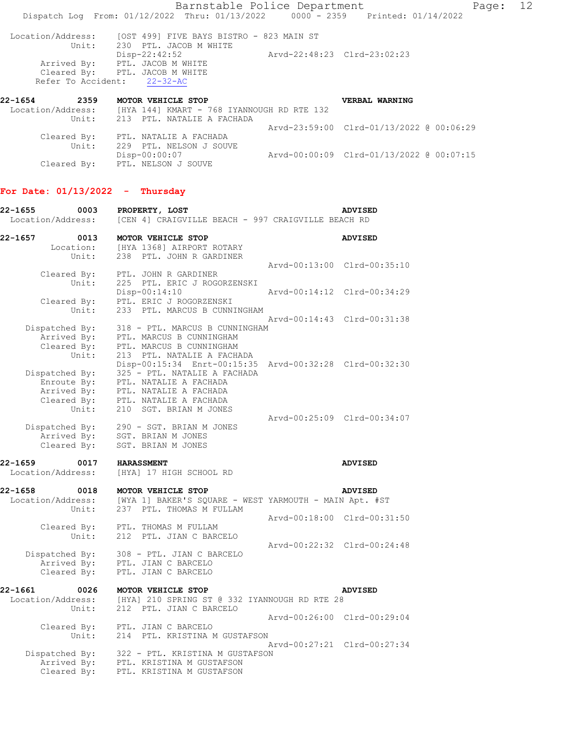Arvd-23:59:00 Clrd-01/13/2022 @ 00:06:29 Cleared By: PTL. NATALIE A FACHADA Unit: 229 PTL. NELSON J SOUVE<br>Disp-00:00:07 Disp-00:00:07 Arvd-00:00:09 Clrd-01/13/2022 @ 00:07:15 Cleared By: PTL. NELSON J SOUVE

## **For Date: 01/13/2022 - Thursday**

| 22-1655<br>0003<br>Location/Address:                                 | PROPERTY, LOST<br>[CEN 4] CRAIGVILLE BEACH - 997 CRAIGVILLE BEACH RD                                                                                                |                             | <b>ADVISED</b>              |
|----------------------------------------------------------------------|---------------------------------------------------------------------------------------------------------------------------------------------------------------------|-----------------------------|-----------------------------|
| 22-1657<br>0013<br>Location:                                         | MOTOR VEHICLE STOP<br>[HYA 1368] AIRPORT ROTARY                                                                                                                     |                             | <b>ADVISED</b>              |
| Unit:                                                                | 238 PTL. JOHN R GARDINER                                                                                                                                            | Arvd-00:13:00 Clrd-00:35:10 |                             |
| Cleared By:<br>Unit:<br>Cleared By:                                  | PTL. JOHN R GARDINER<br>225 PTL. ERIC J ROGORZENSKI<br>Disp-00:14:10<br>PTL. ERIC J ROGORZENSKI                                                                     |                             | Arvd-00:14:12 Clrd-00:34:29 |
| Unit:                                                                | 233 PTL. MARCUS B CUNNINGHAM                                                                                                                                        |                             | Arvd-00:14:43 Clrd-00:31:38 |
| Dispatched By:<br>Arrived By:<br>Cleared By:<br>Unit:                | 318 - PTL. MARCUS B CUNNINGHAM<br>PTL. MARCUS B CUNNINGHAM<br>PTL. MARCUS B CUNNINGHAM<br>213 PTL. NATALIE A FACHADA                                                |                             |                             |
| Dispatched By:<br>Enroute By:<br>Arrived By:<br>Cleared By:<br>Unit: | Disp-00:15:34 Enrt-00:15:35<br>325 - PTL. NATALIE A FACHADA<br>PTL. NATALIE A FACHADA<br>PTL. NATALIE A FACHADA<br>PTL. NATALIE A FACHADA<br>210 SGT. BRIAN M JONES |                             | Arvd-00:32:28 Clrd-00:32:30 |
| Dispatched By:<br>Arrived By:<br>Cleared By:                         | 290 - SGT. BRIAN M JONES<br>SGT. BRIAN M JONES<br>SGT. BRIAN M JONES                                                                                                |                             | Arvd-00:25:09 Clrd-00:34:07 |
| 22-1659<br>0017                                                      | <b>HARASSMENT</b>                                                                                                                                                   |                             | <b>ADVISED</b>              |
| Location/Address:                                                    | [HYA] 17 HIGH SCHOOL RD                                                                                                                                             |                             |                             |
| 22-1658<br>0018<br>Location/Address:<br>Unit:                        | MOTOR VEHICLE STOP<br>[WYA 1] BAKER'S SQUARE - WEST YARMOUTH - MAIN Apt. #ST<br>237 PTL. THOMAS M FULLAM                                                            |                             | <b>ADVISED</b>              |
| Cleared By:<br>Unit:                                                 | PTL. THOMAS M FULLAM<br>212 PTL. JIAN C BARCELO                                                                                                                     |                             | Arvd-00:18:00 Clrd-00:31:50 |
| Dispatched By:<br>Arrived By:<br>Cleared By:                         | 308 - PTL. JIAN C BARCELO<br>PTL. JIAN C BARCELO<br>PTL. JIAN C BARCELO                                                                                             | Arvd-00:22:32 Clrd-00:24:48 |                             |
| 22-1661<br>0026                                                      | MOTOR VEHICLE STOP                                                                                                                                                  |                             | <b>ADVISED</b>              |
| Location/Address:<br>Unit:                                           | [HYA] 210 SPRING ST @ 332 IYANNOUGH RD RTE 28<br>212 PTL. JIAN C BARCELO                                                                                            | Arvd-00:26:00 Clrd-00:29:04 |                             |
| Cleared By:<br>Unit:                                                 | PTL. JIAN C BARCELO<br>214 PTL. KRISTINA M GUSTAFSON                                                                                                                |                             |                             |
| Arrived By:<br>Cleared By:                                           | Dispatched By: 322 - PTL. KRISTINA M GUSTAFSON<br>PTL. KRISTINA M GUSTAFSON<br>PTL. KRISTINA M GUSTAFSON                                                            |                             | Arvd-00:27:21 Clrd-00:27:34 |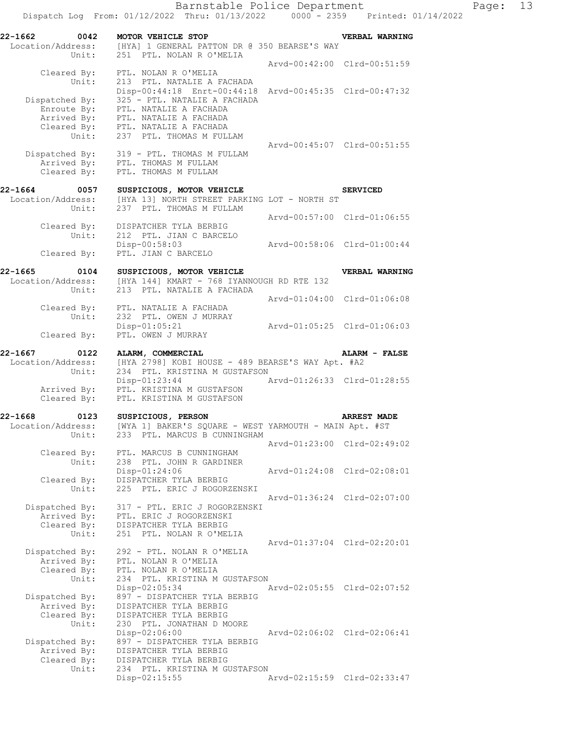**22-1662 0042 MOTOR VEHICLE STOP VERBAL WARNING**  Location/Address: [HYA] 1 GENERAL PATTON DR @ 350 BEARSE'S WAY Unit: 251 PTL. NOLAN R O'MELIA Arvd-00:42:00 Clrd-00:51:59 Cleared By: PTL. NOLAN R O'MELIA Unit: 213 PTL. NATALIE A FACHADA Disp-00:44:18 Enrt-00:44:18 Arvd-00:45:35 Clrd-00:47:32 Dispatched By: 325 - PTL. NATALIE A FACHADA Enroute By: PTL. NATALIE A FACHADA Arrived By: PTL. NATALIE A FACHADA Cleared By: PTL. NATALIE A FACHADA Unit: 237 PTL. THOMAS M FULLAM Arvd-00:45:07 Clrd-00:51:55 Dispatched By: 319 - PTL. THOMAS M FULLAM Arrived By: PTL. THOMAS M FULLAM Cleared By: PTL. THOMAS M FULLAM **22-1664** 0057 SUSPICIOUS, MOTOR VEHICLE SERVICED SERVICED Location/Address: [HYA 13] NORTH STREET PARKING LOT - NORTH ST Unit: 237 PTL. THOMAS M FULLAM Arvd-00:57:00 Clrd-01:06:55 Cleared By: DISPATCHER TYLA BERBIG Unit: 212 PTL. JIAN C BARCELO Disp-00:58:03 Arvd-00:58:06 Clrd-01:00:44<br>Cleared By: PTL. JIAN C BARCELO PTL. JIAN C BARCELO **22-1665 0104 SUSPICIOUS, MOTOR VEHICLE VERBAL WARNING**  Location/Address: [HYA 144] KMART - 768 IYANNOUGH RD RTE 132 Unit: 213 PTL. NATALIE A FACHADA Arvd-01:04:00 Clrd-01:06:08 Cleared By: PTL. NATALIE A FACHADA Unit: 232 PTL. OWEN J MURRAY Disp-01:05:21 Arvd-01:05:25 Clrd-01:06:03 Cleared By: PTL. OWEN J MURRAY **22-1667 0122 ALARM, COMMERCIAL ALARM - FALSE**  Location/Address: [HYA 2798] KOBI HOUSE - 489 BEARSE'S WAY Apt. #A2<br>Unit: 234 PTL. KRISTINA M GUSTAFSON 234 PTL. KRISTINA M GUSTAFSON<br>Disp-01:23:44 A Arvd-01:26:33 Clrd-01:28:55 Arrived By: PTL. KRISTINA M GUSTAFSON Cleared By: PTL. KRISTINA M GUSTAFSON **22-1668 0123 SUSPICIOUS, PERSON ARREST MADE**  Location/Address: [WYA 1] BAKER'S SQUARE - WEST YARMOUTH - MAIN Apt. #ST Unit: 233 PTL. MARCUS B CUNNINGHAM Arvd-01:23:00 Clrd-02:49:02 Cleared By: PTL. MARCUS B CUNNINGHAM Unit: 238 PTL. JOHN R GARDINER Disp-01:24:06 Arvd-01:24:08 Clrd-02:08:01 Cleared By: DISPATCHER TYLA BERBIG Unit: 225 PTL. ERIC J ROGORZENSKI Arvd-01:36:24 Clrd-02:07:00 Dispatched By: 317 - PTL. ERIC J ROGORZENSKI Arrived By: PTL. ERIC J ROGORZENSKI Cleared By: DISPATCHER TYLA BERBIG Unit: 251 PTL. NOLAN R O'MELIA Arvd-01:37:04 Clrd-02:20:01 Dispatched By: 292 - PTL. NOLAN R O'MELIA Arrived By: PTL. NOLAN R O'MELIA Cleared By: PTL. NOLAN R O'MELIA<br>Unit: 234 PTL. KRISTINA M 234 PTL. KRISTINA M GUSTAFSON<br>Disp-02:05:34 1 Disp-02:05:34 Arvd-02:05:55 Clrd-02:07:52 Dispatched By: 897 - DISPATCHER TYLA BERBIG Arrived By: DISPATCHER TYLA BERBIG Cleared By: DISPATCHER TYLA BERBIG Unit: 230 PTL. JONATHAN D MOORE<br>Disp-02:06:00 Disp-02:06:00 Arvd-02:06:02 Clrd-02:06:41 Dispatched By: 897 - DISPATCHER TYLA BERBIG Arrived By: DISPATCHER TYLA BERBIG Cleared By: DISPATCHER TYLA BERBIG<br>Unit: 234 PTL. KRISTINA M GU 234 PTL. KRISTINA M GUSTAFSON<br>Disp-02:15:55 P Disp-02:15:55 Arvd-02:15:59 Clrd-02:33:47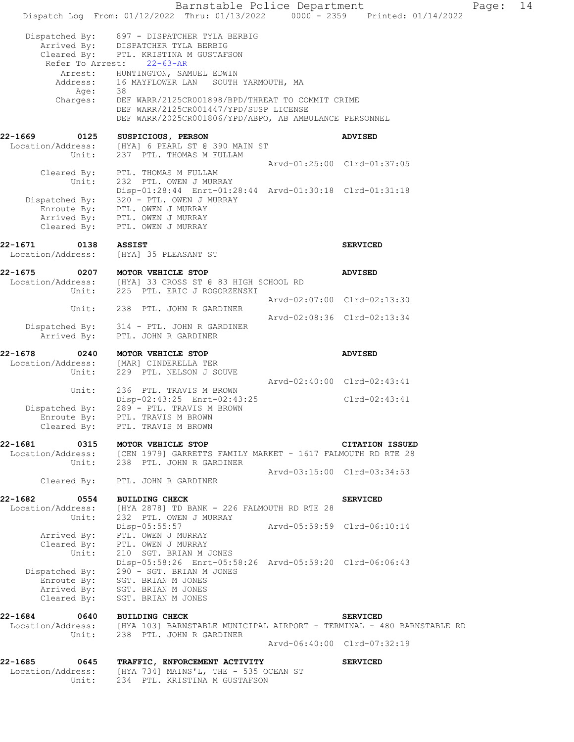Barnstable Police Department Page: 14 Dispatch Log From: 01/12/2022 Thru: 01/13/2022 0000 - 2359 Printed: 01/14/2022 Dispatched By: 897 - DISPATCHER TYLA BERBIG Arrived By: DISPATCHER TYLA BERBIG Cleared By: PTL. KRISTINA M GUSTAFSON Refer To Arrest: 22-63-AR Arrest: HUNTINGTON, SAMUEL EDWIN Address: 16 MAYFLOWER LAN SOUTH YARMOUTH, MA Age: 38 Charges: DEF WARR/2125CR001898/BPD/THREAT TO COMMIT CRIME DEF WARR/2125CR001447/YPD/SUSP LICENSE DEF WARR/2025CR001806/YPD/ABPO, AB AMBULANCE PERSONNEL **22-1669 0125 SUSPICIOUS, PERSON ADVISED**  Location/Address: [HYA] 6 PEARL ST @ 390 MAIN ST Unit: 237 PTL. THOMAS M FULLAM Arvd-01:25:00 Clrd-01:37:05 Cleared By: PTL. THOMAS M FULLAM Unit: 232 PTL. OWEN J MURRAY Disp-01:28:44 Enrt-01:28:44 Arvd-01:30:18 Clrd-01:31:18 Dispatched By: 320 - PTL. OWEN J MURRAY Enroute By: PTL. OWEN J MURRAY<br>Arrived By: PTL. OWEN J MURRAY<br>Cleared By: PTL. OWEN J MURRAY PTL. OWEN J MURRAY PTL. OWEN J MURRAY **22-1671 0138 ASSIST SERVICED**  Location/Address: [HYA] 35 PLEASANT ST **22-1675 0207 MOTOR VEHICLE STOP ADVISED**  Location/Address: [HYA] 33 CROSS ST @ 83 HIGH SCHOOL RD Unit: 225 PTL. ERIC J ROGORZENSKI Arvd-02:07:00 Clrd-02:13:30 Unit: 238 PTL. JOHN R GARDINER Arvd-02:08:36 Clrd-02:13:34 Dispatched By: 314 - PTL. JOHN R GARDINER<br>Arrived By: PTL. JOHN R GARDINER PTL. JOHN R GARDINER **22-1678 0240 MOTOR VEHICLE STOP ADVISED**  Location/Address: [MAR] CINDERELLA TER Unit: 229 PTL. NELSON J SOUVE Arvd-02:40:00 Clrd-02:43:41 Unit: 236 PTL. TRAVIS M BROWN Disp-02:43:25 Enrt-02:43:25 Clrd-02:43:41 Dispatched By: 289 - PTL. TRAVIS M BROWN Enroute By: PTL. TRAVIS M BROWN Cleared By: PTL. TRAVIS M BROWN **22-1681 0315 MOTOR VEHICLE STOP CITATION ISSUED**  [CEN 1979] GARRETTS FAMILY MARKET - 1617 FALMOUTH RD RTE 28 Location/Address: [CEN 1979] GARRETTS FAMILY<br>Unit: 238 PTL. JOHN R GARDINER Arvd-03:15:00 Clrd-03:34:53 Cleared By: PTL. JOHN R GARDINER **22-1682 0554 BUILDING CHECK SERVICED**<br>Location/Address: [HYA 2878] TD BANK - 226 FALMOUTH RD RTE 28 Location/Address: [HYA 2878] TD BANK - 226 FALMOUTH RD RTE 28 Unit: 232 PTL. OWEN J MURRAY Disp-05:55:57 Arvd-05:59:59 Clrd-06:10:14 Arrived By: PTL. OWEN J MURRAY Cleared By: PTL. OWEN J MURRAY Unit: 210 SGT. BRIAN M JONES Disp-05:58:26 Enrt-05:58:26 Arvd-05:59:20 Clrd-06:06:43 Dispatched By: 290 - SGT. BRIAN M JONES Enroute By: SGT. BRIAN M JONES Arrived By: SGT. BRIAN M JONES Cleared By: SGT. BRIAN M JONES **22-1684 0640 BUILDING CHECK SERVICED**  Location/Address: [HYA 103] BARNSTABLE MUNICIPAL AIRPORT - TERMINAL - 480 BARNSTABLE RD Unit: 238 PTL. JOHN R GARDINER Arvd-06:40:00 Clrd-07:32:19 **22-1685 0645 TRAFFIC, ENFORCEMENT ACTIVITY SERVICED**  Location/Address: [HYA 734] MAINS'L, THE - 535 OCEAN ST Unit: 234 PTL. KRISTINA M GUSTAFSON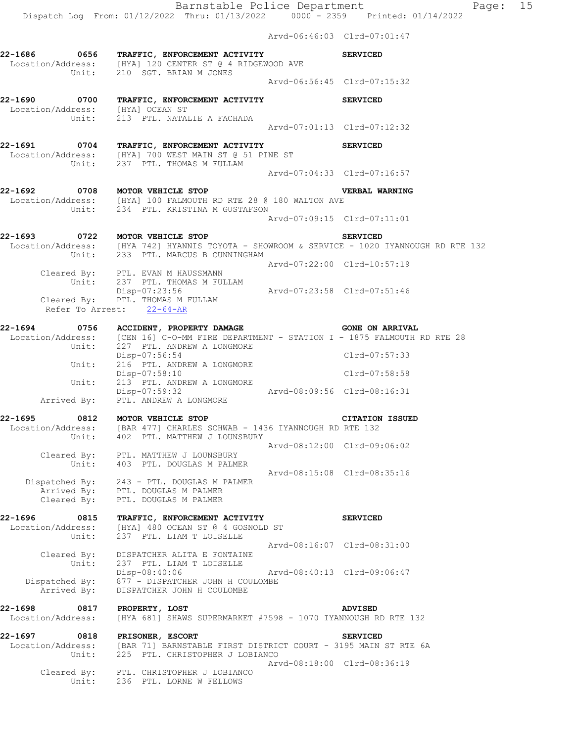Dispatch Log From: 01/12/2022 Thru: 01/13/2022 0000 - 2359 Printed: 01/14/2022

 Arvd-06:46:03 Clrd-07:01:47 **22-1686 0656 TRAFFIC, ENFORCEMENT ACTIVITY SERVICED**  Location/Address: [HYA] 120 CENTER ST @ 4 RIDGEWOOD AVE Unit: 210 SGT. BRIAN M JONES Arvd-06:56:45 Clrd-07:15:32 **22-1690 0700 TRAFFIC, ENFORCEMENT ACTIVITY SERVICED**  Location/Address: [HYA] OCEAN ST Unit: 213 PTL. NATALIE A FACHADA Arvd-07:01:13 Clrd-07:12:32 **22-1691 0704 TRAFFIC, ENFORCEMENT ACTIVITY SERVICED**  Location/Address: [HYA] 700 WEST MAIN ST @ 51 PINE ST Unit: 237 PTL. THOMAS M FULLAM Arvd-07:04:33 Clrd-07:16:57 **22-1692 0708 MOTOR VEHICLE STOP VERBAL WARNING**  Location/Address: [HYA] 100 FALMOUTH RD RTE 28 @ 180 WALTON AVE Unit: 234 PTL. KRISTINA M GUSTAFSON Arvd-07:09:15 Clrd-07:11:01 **22-1693 0722 MOTOR VEHICLE STOP SERVICED**  Location/Address: [HYA 742] HYANNIS TOYOTA - SHOWROOM & SERVICE - 1020 IYANNOUGH RD RTE 132 Unit: 233 PTL. MARCUS B CUNNINGHAM Arvd-07:22:00 Clrd-10:57:19 Cleared By: PTL. EVAN M HAUSSMANN Unit: 237 PTL. THOMAS M FULLAM Unit: 237 PTL. THOMAS M FULLAM<br>Disp-07:23:56 Arvd-07:23:58 Clrd-07:51:46 Cleared By: PTL. THOMAS M FULLAM Refer To Arrest: 22-64-AR **22-1694 0756 ACCIDENT, PROPERTY DAMAGE GONE ON ARRIVAL**  Location/Address: [CEN 16] C-O-MM FIRE DEPARTMENT - STATION I - 1875 FALMOUTH RD RTE 28<br>Unit: 227 PTL. ANDREW A LONGMORE 227 PTL. ANDREW A LONGMORE Disp-07:56:54 Clrd-07:57:33 Unit: 216 PTL. ANDREW A LONGMORE Disp-07:58:10 Clrd-07:58:58 Unit: 213 PTL. ANDREW A LONGMORE Disp-07:59:32 Arvd-08:09:56 Clrd-08:16:31 Arrived By: PTL. ANDREW A LONGMORE **22-1695 0812 MOTOR VEHICLE STOP CITATION ISSUED**  Location/Address: [BAR 477] CHARLES SCHWAB - 1436 IYANNOUGH RD RTE 132 Unit: 402 PTL. MATTHEW J LOUNSBURY Arvd-08:12:00 Clrd-09:06:02 Cleared By: PTL. MATTHEW J LOUNSBURY Unit: 403 PTL. DOUGLAS M PALMER Arvd-08:15:08 Clrd-08:35:16 Dispatched By: 243 - PTL. DOUGLAS M PALMER Arrived By: PTL. DOUGLAS M PALMER Cleared By: PTL. DOUGLAS M PALMER **22-1696 0815 TRAFFIC, ENFORCEMENT ACTIVITY SERVICED**  Location/Address: [HYA] 480 OCEAN ST @ 4 GOSNOLD ST Unit: 237 PTL. LIAM T LOISELLE Arvd-08:16:07 Clrd-08:31:00 Cleared By: DISPATCHER ALITA E FONTAINE Unit: 237 PTL. LIAM T LOISELLE Disp-08:40:06 Arvd-08:40:13 Clrd-09:06:47 Dispatched By:  $877 -$  DISPATCHER JOHN H COULOMBE Arrived By: DISPATCHER JOHN H COULOMBE **22-1698 0817 PROPERTY, LOST ADVISED**  Location/Address: [HYA 681] SHAWS SUPERMARKET #7598 - 1070 IYANNOUGH RD RTE 132 **22-1697 0818 PRISONER, ESCORT SERVICED**  Location/Address: [BAR 71] BARNSTABLE FIRST DISTRICT COURT - 3195 MAIN ST RTE 6A Unit: 225 PTL. CHRISTOPHER J LOBIANCO Arvd-08:18:00 Clrd-08:36:19 Cleared By: PTL. CHRISTOPHER J LOBIANCO Unit: 236 PTL. LORNE W FELLOWS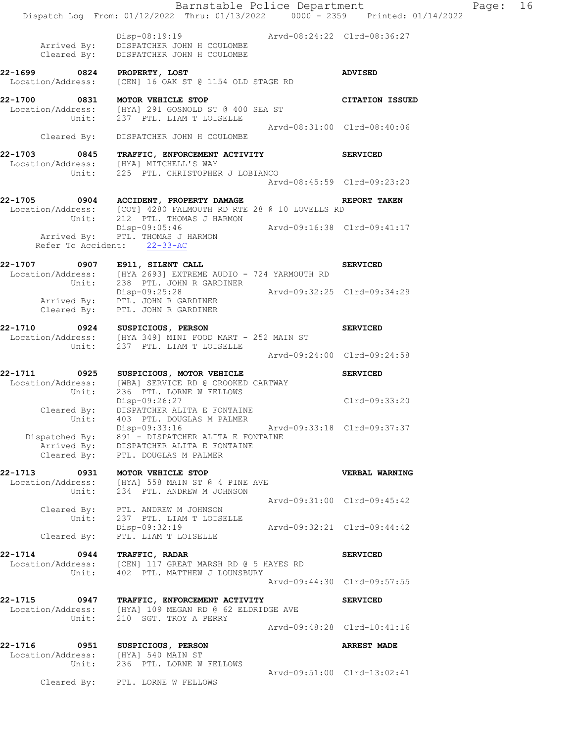|                                               | Dispatch Log From: 01/12/2022 Thru: 01/13/2022 0000 - 2359 Printed: 01/14/2022                                                                                        |                             | Barnstable Police Department     | Page: | 16 |
|-----------------------------------------------|-----------------------------------------------------------------------------------------------------------------------------------------------------------------------|-----------------------------|----------------------------------|-------|----|
|                                               | Disp-08:19:19 Arvd-08:24:22 Clrd-08:36:27<br>Arrived By: DISPATCHER JOHN H COULOMBE<br>Cleared By: DISPATCHER JOHN H COULOMBE                                         |                             |                                  |       |    |
| 22-1699 0824 PROPERTY, LOST                   | Location/Address: [CEN] 16 OAK ST @ 1154 OLD STAGE RD                                                                                                                 |                             | <b>ADVISED</b>                   |       |    |
| 22-1700 0831 MOTOR VEHICLE STOP               | Location/Address: [HYA] 291 GOSNOLD ST @ 400 SEA ST<br>Unit: 237 PTL. LIAM T LOISELLE                                                                                 |                             | <b>CITATION ISSUED</b>           |       |    |
|                                               | Cleared By: DISPATCHER JOHN H COULOMBE                                                                                                                                | Arvd-08:31:00 Clrd-08:40:06 |                                  |       |    |
| 22-1703                                       | 0845 TRAFFIC, ENFORCEMENT ACTIVITY<br>Location/Address: [HYA] MITCHELL'S WAY<br>Unit: 225 PTL. CHRISTOPHER J LOBIANCO                                                 |                             | <b>SERVICED</b>                  |       |    |
|                                               |                                                                                                                                                                       |                             | Arvd-08:45:59 Clrd-09:23:20      |       |    |
|                                               | 22-1705 0904 ACCIDENT, PROPERTY DAMAGE<br>Location/Address: [COT] 4280 FALMOUTH RD RTE 28 @ 10 LOVELLS RD                                                             |                             | REPORT TAKEN                     |       |    |
|                                               | Unit: 212 PTL. THOMAS J HARMON<br>Disp-09:05:46 Arvd-09:16:38 Clrd-09:41:17<br>Arrived By: PTL. THOMAS J HARMON<br>Refer To Accident: 22-33-AC                        |                             |                                  |       |    |
| 22-1707 0907 E911, SILENT CALL                | Location/Address: [HYA 2693] EXTREME AUDIO - 724 YARMOUTH RD                                                                                                          |                             | <b>SERVICED</b>                  |       |    |
|                                               | Unit: 238 PTL. JOHN R GARDINER<br>Disp-09:25:28 Arvd-09:32:25 Clrd-09:34:29<br>Arrived By: PTL. JOHN R GARDINER<br>Cleared By: PTL. JOHN R GARDINER                   |                             |                                  |       |    |
| 22-1710 0924 SUSPICIOUS, PERSON               | Location/Address: [HYA 349] MINI FOOD MART - 252 MAIN ST<br>Unit: 237 PTL. LIAM T LOISELLE                                                                            |                             | <b>SERVICED</b>                  |       |    |
|                                               |                                                                                                                                                                       |                             | Arvd-09:24:00 Clrd-09:24:58      |       |    |
|                                               | 22-1711 0925 SUSPICIOUS, MOTOR VEHICLE<br>Location/Address: [WBA] SERVICE RD @ CROOKED CARTWAY<br>Unit: 236 PTL. LORNE W FELLOWS<br>Disp-09:26:27                     |                             | <b>SERVICED</b><br>Clrd-09:33:20 |       |    |
| Unit:<br>Dispatched By:                       | Cleared By: DISPATCHER ALITA E FONTAINE<br>403 PTL. DOUGLAS M PALMER<br>Disp-09:33:16<br>891 - DISPATCHER ALITA E FONTAINE<br>Arrived By: DISPATCHER ALITA E FONTAINE | Arvd-09:33:18 Clrd-09:37:37 |                                  |       |    |
| Cleared By:                                   | PTL. DOUGLAS M PALMER                                                                                                                                                 |                             |                                  |       |    |
| 22-1713<br>0931<br>Unit:                      | MOTOR VEHICLE STOP<br>Location/Address: [HYA] 558 MAIN ST @ 4 PINE AVE<br>234 PTL. ANDREW M JOHNSON                                                                   |                             | VERBAL WARNING                   |       |    |
| Unit:                                         | Cleared By: PTL. ANDREW M JOHNSON<br>237 PTL. LIAM T LOISELLE                                                                                                         |                             | Arvd-09:31:00 Clrd-09:45:42      |       |    |
| Cleared By:                                   | Disp-09:32:19 Arvd-09:32:21 Clrd-09:44:42<br>PTL. LIAM T LOISELLE                                                                                                     |                             |                                  |       |    |
| 22-1714<br>0944<br>Location/Address:<br>Unit: | TRAFFIC, RADAR<br>[CEN] 117 GREAT MARSH RD @ 5 HAYES RD<br>402 PTL. MATTHEW J LOUNSBURY                                                                               |                             | <b>SERVICED</b>                  |       |    |
|                                               |                                                                                                                                                                       |                             | Arvd-09:44:30 Clrd-09:57:55      |       |    |
| 22-1715<br>0947<br>Location/Address:<br>Unit: | TRAFFIC, ENFORCEMENT ACTIVITY<br>[HYA] 109 MEGAN RD @ 62 ELDRIDGE AVE<br>210 SGT. TROY A PERRY                                                                        |                             | <b>SERVICED</b>                  |       |    |
|                                               |                                                                                                                                                                       |                             | Arvd-09:48:28 Clrd-10:41:16      |       |    |
| 22-1716<br>Unit:                              | 0951 SUSPICIOUS, PERSON<br>Location/Address: [HYA] 540 MAIN ST<br>236 PTL. LORNE W FELLOWS                                                                            |                             | <b>ARREST MADE</b>               |       |    |
|                                               | Cleared By: PTL. LORNE W FELLOWS                                                                                                                                      |                             | Arvd-09:51:00 Clrd-13:02:41      |       |    |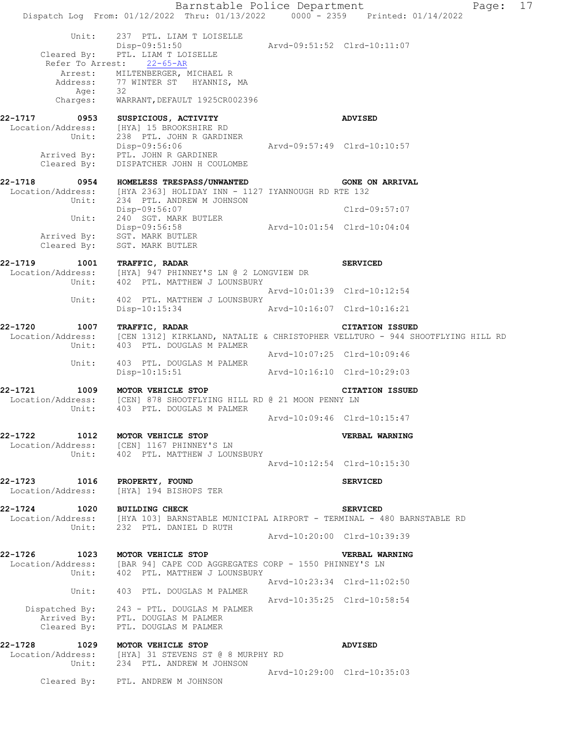Barnstable Police Department Fage: 17 Dispatch Log From: 01/12/2022 Thru: 01/13/2022 0000 - 2359 Printed: 01/14/2022 Unit: 237 PTL. LIAM T LOISELLE Disp-09:51:50 Arvd-09:51:52 Clrd-10:11:07 Cleared By: PTL. LIAM T LOISELLE Refer To Arrest: 22-65-AR Arrest: MILTENBERGER, MICHAEL R Address: 77 WINTER ST HYANNIS, MA Age: 32 Charges: WARRANT, DEFAULT 1925CR002396 **22-1717 0953 SUSPICIOUS, ACTIVITY ADVISED**  Location/Address: [HYA] 15 BROOKSHIRE RD Unit: 238 PTL. JOHN R GARDINER Disp-09:56:06 Arvd-09:57:49 Clrd-10:10:57 Arrived By: PTL. JOHN R GARDINER Cleared By: DISPATCHER JOHN H COULOMBE **22-1718 0954 HOMELESS TRESPASS/UNWANTED GONE ON ARRIVAL**  Location/Address: [HYA 2363] HOLIDAY INN - 1127 IYANNOUGH RD RTE 132 Unit: 234 PTL. ANDREW M JOHNSON Disp-09:56:07 Clrd-09:57:07 Unit: 240 SGT. MARK BUTLER Disp-09:56:58 Arvd-10:01:54 Clrd-10:04:04 Arrived By: SGT. MARK BUTLER Cleared By: SGT. MARK BUTLER **22-1719 1001 TRAFFIC, RADAR SERVICED**  Location/Address: [HYA] 947 PHINNEY'S LN @ 2 LONGVIEW DR Unit: 402 PTL. MATTHEW J LOUNSBURY Arvd-10:01:39 Clrd-10:12:54 Unit: 402 PTL. MATTHEW J LOUNSBURY<br>Disp-10:15:34 Disp-10:15:34 Arvd-10:16:07 Clrd-10:16:21 **22-1720 1007 TRAFFIC, RADAR CITATION ISSUED**<br>Location/Address: [CEN 1312] KIRKLAND, NATALIE & CHRISTOPHER VELLTURO - 944 SH<br>Unit: 403 PTL. DOUGLAS M PALMER [CEN 1312] KIRKLAND, NATALIE & CHRISTOPHER VELLTURO - 944 SHOOTFLYING HILL RD Unit: 403 PTL. DOUGLAS M PALMER Arvd-10:07:25 Clrd-10:09:46 Unit: 403 PTL. DOUGLAS M PALMER Disp-10:15:51 Arvd-10:16:10 Clrd-10:29:03 **22-1721 1009 MOTOR VEHICLE STOP CITATION ISSUED**  Location/Address: [CEN] 878 SHOOTFLYING HILL RD @ 21 MOON PENNY LN Unit: 403 PTL. DOUGLAS M PALMER Arvd-10:09:46 Clrd-10:15:47 **22-1722 1012 MOTOR VEHICLE STOP VERBAL WARNING**  Location/Address: [CEN] 1167 PHINNEY'S LN Unit: 402 PTL. MATTHEW J LOUNSBURY Arvd-10:12:54 Clrd-10:15:30 **22-1723 1016 PROPERTY, FOUND SERVICED**  Location/Address: [HYA] 194 BISHOPS TER **22-1724 1020 BUILDING CHECK SERVICED**  Location/Address: [HYA 103] BARNSTABLE MUNICIPAL AIRPORT - TERMINAL - 480 BARNSTABLE RD Unit: 232 PTL. DANIEL D RUTH Arvd-10:20:00 Clrd-10:39:39 **22-1726 1023 MOTOR VEHICLE STOP VERBAL WARNING**  Location/Address: [BAR 94] CAPE COD AGGREGATES CORP - 1550 PHINNEY'S LN Unit: 402 PTL. MATTHEW J LOUNSBURY Arvd-10:23:34 Clrd-11:02:50 Unit: 403 PTL. DOUGLAS M PALMER Arvd-10:35:25 Clrd-10:58:54 Dispatched By: 243 - PTL. DOUGLAS M PALMER Arrived By: PTL. DOUGLAS M PALMER Cleared By: PTL. DOUGLAS M PALMER **22-1728 1029 MOTOR VEHICLE STOP ADVISED**  Location/Address: [HYA] 31 STEVENS ST @ 8 MURPHY RD Unit: 234 PTL. ANDREW M JOHNSON Arvd-10:29:00 Clrd-10:35:03 Cleared By: PTL. ANDREW M JOHNSON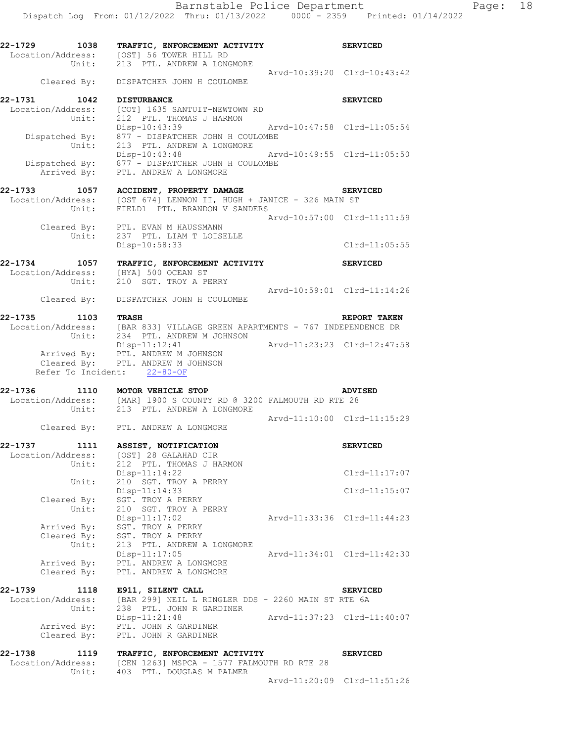| 22-1729<br>1038                      | TRAFFIC, ENFORCEMENT ACTIVITY<br>Location/Address: [OST] 56 TOWER HILL RD<br>Unit: 213 PTL. ANDREW A LONGMORE                                                   | <b>SERVICED</b>             |
|--------------------------------------|-----------------------------------------------------------------------------------------------------------------------------------------------------------------|-----------------------------|
|                                      | Cleared By: DISPATCHER JOHN H COULOMBE                                                                                                                          | Arvd-10:39:20 Clrd-10:43:42 |
| 22-1731<br>1042<br>Location/Address: | <b>DISTURBANCE</b><br>[COT] 1635 SANTUIT-NEWTOWN RD                                                                                                             | <b>SERVICED</b>             |
| Unit:<br>Unit:                       | 212 PTL. THOMAS J HARMON<br>Arvd-10:47:58 Clrd-11:05:54<br>Disp-10:43:39<br>Dispatched By: $877 - \text{DISPATH}$ JOHN H COULOMBE<br>213 PTL. ANDREW A LONGMORE |                             |
| Dispatched By:                       | Disp-10:43:48<br>877 - DISPATCHER JOHN H COULOMBE<br>Arrived By: PTL. ANDREW A LONGMORE                                                                         | Arvd-10:49:55 Clrd-11:05:50 |
| 22-1733 1057                         |                                                                                                                                                                 |                             |
| Location/Address:                    | ACCIDENT, PROPERTY DAMAGE<br>[OST 674] LENNON II, HUGH + JANICE - 326 MAIN ST                                                                                   | <b>SERVICED</b>             |
| Unit:                                | FIELD1 PTL. BRANDON V SANDERS                                                                                                                                   | Arvd-10:57:00 Clrd-11:11:59 |
| Unit:                                | Cleared By: PTL. EVAN M HAUSSMANN<br>237 PTL. LIAM T LOISELLE                                                                                                   |                             |
|                                      | Disp-10:58:33                                                                                                                                                   | $Clrd-11:05:55$             |
| 22-1734 1057<br>Location/Address:    | TRAFFIC, ENFORCEMENT ACTIVITY<br>[HYA] 500 OCEAN ST                                                                                                             | <b>SERVICED</b>             |
| Unit:                                | 210 SGT. TROY A PERRY<br>Cleared By: DISPATCHER JOHN H COULOMBE                                                                                                 | Arvd-10:59:01 Clrd-11:14:26 |
| 22-1735<br>1103 TRASH                |                                                                                                                                                                 | REPORT TAKEN                |
|                                      | Location/Address: [BAR 833] VILLAGE GREEN APARTMENTS - 767 INDEPENDENCE DR<br>Unit: 234 PTL. ANDREW M JOHNSON                                                   |                             |
|                                      | Disp-11:12:41                                                                                                                                                   | Arvd-11:23:23 Clrd-12:47:58 |
|                                      | Arrived By: PTL. ANDREW M JOHNSON<br>Cleared By: PTL. ANDREW M JOHNSON<br>Refer To Incident: 22-80-OF                                                           |                             |
| 22-1736                              | 1110 MOTOR VEHICLE STOP                                                                                                                                         | <b>ADVISED</b>              |
|                                      | Location/Address: [MAR] 1900 S COUNTY RD @ 3200 FALMOUTH RD RTE 28<br>Unit: 213 PTL. ANDREW A LONGMORE                                                          |                             |
|                                      | Cleared By: PTL. ANDREW A LONGMORE                                                                                                                              | Arvd-11:10:00 Clrd-11:15:29 |
| 22-1737<br>1111                      | <b>ASSIST, NOTIFICATION</b>                                                                                                                                     | <b>SERVICED</b>             |
|                                      | Location/Address: [OST] 28 GALAHAD CIR                                                                                                                          |                             |
| Unit:                                | 212 PTL. THOMAS J HARMON<br>Disp-11:14:22                                                                                                                       | Clrd-11:17:07               |
| Unit:                                | 210 SGT. TROY A PERRY<br>Disp-11:14:33                                                                                                                          | $Clrd-11:15:07$             |
| Cleared By:                          | SGT. TROY A PERRY                                                                                                                                               |                             |
| Unit:                                | 210 SGT. TROY A PERRY<br>$Disp-11:17:02$                                                                                                                        | Arvd-11:33:36 Clrd-11:44:23 |
| Arrived By:                          | SGT. TROY A PERRY                                                                                                                                               |                             |
| Cleared By:<br>Unit:                 | SGT. TROY A PERRY<br>213 PTL. ANDREW A LONGMORE                                                                                                                 |                             |
| Arrived By:                          | Disp-11:17:05<br>PTL. ANDREW A LONGMORE                                                                                                                         | Arvd-11:34:01 Clrd-11:42:30 |
| Cleared By:                          | PTL. ANDREW A LONGMORE                                                                                                                                          |                             |
| 22-1739<br>1118                      | E911, SILENT CALL                                                                                                                                               | <b>SERVICED</b>             |
| Location/Address:<br>Unit:           | [BAR 299] NEIL L RINGLER DDS - 2260 MAIN ST RTE 6A<br>238 PTL. JOHN R GARDINER                                                                                  |                             |
| Arrived By:<br>Cleared By:           | Disp-11:21:48<br>PTL. JOHN R GARDINER<br>PTL. JOHN R GARDINER                                                                                                   | Arvd-11:37:23 Clrd-11:40:07 |
| 22-1738<br>1119                      | TRAFFIC, ENFORCEMENT ACTIVITY                                                                                                                                   |                             |
| Location/Address:<br>Unit:           | [CEN 1263] MSPCA - 1577 FALMOUTH RD RTE 28<br>403 PTL. DOUGLAS M PALMER                                                                                         | <b>SERVICED</b>             |
|                                      |                                                                                                                                                                 | Arvd-11:20:09 Clrd-11:51:26 |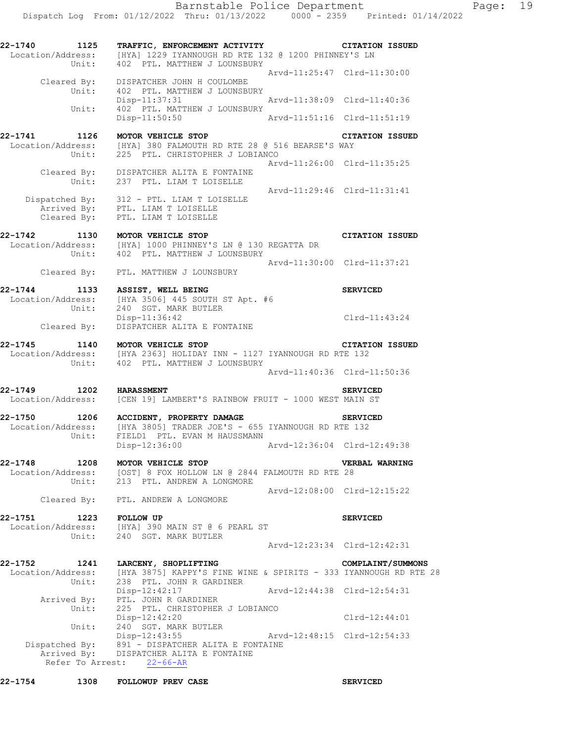Dispatch Log From: 01/12/2022 Thru: 01/13/2022 0000 - 2359 Printed: 01/14/2022

**22-1740 1125 TRAFFIC, ENFORCEMENT ACTIVITY CITATION ISSUED**  Location/Address: [HYA] 1229 IYANNOUGH RD RTE 132 @ 1200 PHINNEY'S LN Unit: 402 PTL. MATTHEW J LOUNSBURY Arvd-11:25:47 Clrd-11:30:00 Cleared By: DISPATCHER JOHN H COULOMBE Unit: 402 PTL. MATTHEW J LOUNSBURY Disp-11:37:31 Arvd-11:38:09 Clrd-11:40:36<br>Unit: 402 PTL. MATTHEW J LOUNSBURY 402 PTL. MATTHEW J LOUNSBURY Disp-11:50:50 Arvd-11:51:16 Clrd-11:51:19 **22-1741 1126 MOTOR VEHICLE STOP CITATION ISSUED**  Location/Address: [HYA] 380 FALMOUTH RD RTE 28 @ 516 BEARSE'S WAY Unit: 225 PTL. CHRISTOPHER J LOBIANCO Arvd-11:26:00 Clrd-11:35:25 Cleared By: DISPATCHER ALITA E FONTAINE Unit: 237 PTL. LIAM T LOISELLE Arvd-11:29:46 Clrd-11:31:41 Dispatched By: 312 - PTL. LIAM T LOISELLE Arrived By: PTL. LIAM T LOISELLE Cleared By: PTL. LIAM T LOISELLE **22-1742 1130 MOTOR VEHICLE STOP CITATION ISSUED**  Location/Address: [HYA] 1000 PHINNEY'S LN @ 130 REGATTA DR Unit: 402 PTL. MATTHEW J LOUNSBURY Arvd-11:30:00 Clrd-11:37:21 Cleared By: PTL. MATTHEW J LOUNSBURY **22-1744 1133 ASSIST, WELL BEING SERVICED**  Location/Address: [HYA 3506] 445 SOUTH ST Apt. #6 Unit: 240 SGT. MARK BUTLER Disp-11:36:42 Cleared By: DISPATCHER ALITA E FONTAINE CONSERVANCE CLEAR OF CLEAR OF DESCRIPTION OF  $\frac{D}{D}$ DISPATCHER ALITA E FONTAINE **22-1745 1140 MOTOR VEHICLE STOP CITATION ISSUED**  Location/Address: [HYA 2363] HOLIDAY INN - 1127 IYANNOUGH RD RTE 132 Unit: 402 PTL. MATTHEW J LOUNSBURY Arvd-11:40:36 Clrd-11:50:36 **22-1749 1202 HARASSMENT SERVICED**  Location/Address: [CEN 19] LAMBERT'S RAINBOW FRUIT - 1000 WEST MAIN ST **22-1750 1206 ACCIDENT, PROPERTY DAMAGE SERVICED**  Location/Address: [HYA 3805] TRADER JOE'S - 655 IYANNOUGH RD RTE 132 Unit: FIELD1 PTL. EVAN M HAUSSMANN Disp-12:36:00 Arvd-12:36:04 Clrd-12:49:38 **22-1748 1208 MOTOR VEHICLE STOP VERBAL WARNING**  Location/Address: [OST] 8 FOX HOLLOW LN @ 2844 FALMOUTH RD RTE 28 Unit: 213 PTL. ANDREW A LONGMORE Arvd-12:08:00 Clrd-12:15:22 Cleared By: PTL. ANDREW A LONGMORE **22-1751 1223 FOLLOW UP SERVICED**  Location/Address: [HYA] 390 MAIN ST @ 6 PEARL ST Unit: 240 SGT. MARK BUTLER Arvd-12:23:34 Clrd-12:42:31 **22-1752 1241 LARCENY, SHOPLIFTING COMPLAINT/SUMMONS**  Location/Address: [HYA 3875] KAPPY'S FINE WINE & SPIRITS - 333 IYANNOUGH RD RTE 28 Unit: 238 PTL. JOHN R GARDINER Disp-12:42:17 Arvd-12:44:38 Clrd-12:54:31 Arrived By: PTL. JOHN R GARDINER Unit: 225 PTL. CHRISTOPHER J LOBIANCO Disp-12:42:20 Clrd-12:44:01 Unit:  $240$  SGT. MARK BUTLER<br>Disp-12:43:55 Arvd-12:48:15 Clrd-12:54:33 Dispatched By: 891 - DISPATCHER ALITA E FONTAINE Arrived By: DISPATCHER ALITA E FONTAINE Refer To Arrest: 22-66-AR **22-1754 1308 FOLLOWUP PREV CASE SERVICED**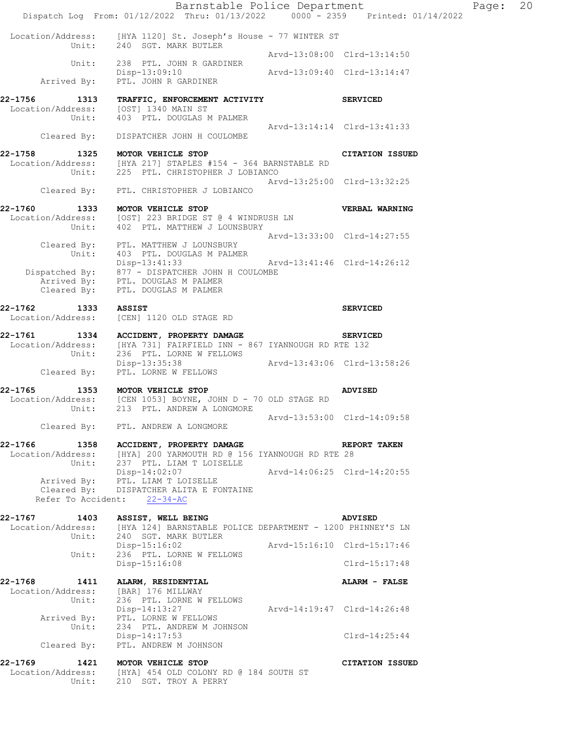|                                                      | Barnstable Police Department<br>Dispatch Log From: 01/12/2022 Thru: 01/13/2022 0000 - 2359 Printed: 01/14/2022                                                |                             |                        | Page: | 20 |
|------------------------------------------------------|---------------------------------------------------------------------------------------------------------------------------------------------------------------|-----------------------------|------------------------|-------|----|
|                                                      | Location/Address: [HYA 1120] St. Joseph's House - 77 WINTER ST                                                                                                |                             |                        |       |    |
|                                                      | Unit: 240 SGT. MARK BUTLER                                                                                                                                    | Arvd-13:08:00 Clrd-13:14:50 |                        |       |    |
| Unit:<br>Arrived By:                                 | 238 PTL. JOHN R GARDINER<br>Disp-13:09:10<br>PTL. JOHN R GARDINER                                                                                             | Arvd-13:09:40 Clrd-13:14:47 |                        |       |    |
| 22-1756<br>1313                                      | TRAFFIC, ENFORCEMENT ACTIVITY<br>Location/Address: [OST] 1340 MAIN ST                                                                                         |                             | <b>SERVICED</b>        |       |    |
| Unit:<br>Cleared By:                                 | 403 PTL. DOUGLAS M PALMER<br>DISPATCHER JOHN H COULOMBE                                                                                                       | Arvd-13:14:14 Clrd-13:41:33 |                        |       |    |
| 22-1758<br>1325                                      | MOTOR VEHICLE STOP<br>Location/Address: [HYA 217] STAPLES #154 - 364 BARNSTABLE RD<br>Unit: 225 PTL. CHRISTOPHER J LOBIANCO                                   |                             | CITATION ISSUED        |       |    |
|                                                      | Cleared By: PTL. CHRISTOPHER J LOBIANCO                                                                                                                       | Arvd-13:25:00 Clrd-13:32:25 |                        |       |    |
| 22-1760<br>1333<br>Unit:                             | MOTOR VEHICLE STOP<br>Location/Address: [OST] 223 BRIDGE ST @ 4 WINDRUSH LN<br>402 PTL. MATTHEW J LOUNSBURY                                                   |                             | <b>VERBAL WARNING</b>  |       |    |
| Unit:                                                | Cleared By: PTL. MATTHEW J LOUNSBURY<br>403 PTL. DOUGLAS M PALMER                                                                                             | Arvd-13:33:00 Clrd-14:27:55 |                        |       |    |
| Cleared By:                                          | Disp-13:41:33<br>Dispatched By: 877 - DISPATCHER JOHN H COULOMBE<br>Arrived By: PTL. DOUGLAS M PALMER<br>PTL. DOUGLAS M PALMER                                | Arvd-13:41:46 Clrd-14:26:12 |                        |       |    |
| 22-1762<br>1333<br>Location/Address:                 | <b>ASSIST</b><br>[CEN] 1120 OLD STAGE RD                                                                                                                      |                             | <b>SERVICED</b>        |       |    |
| 22-1761<br>Unit:                                     | 1334 ACCIDENT, PROPERTY DAMAGE<br>Location/Address: [HYA 731] FAIRFIELD INN - 867 IYANNOUGH RD RTE 132<br>236 PTL. LORNE W FELLOWS                            |                             | <b>SERVICED</b>        |       |    |
| Cleared By:                                          | Disp-13:35:38<br>PTL. LORNE W FELLOWS                                                                                                                         | Arvd-13:43:06 Clrd-13:58:26 |                        |       |    |
| 22-1765<br>1353<br>Unit:                             | MOTOR VEHICLE STOP<br>Location/Address: [CEN 1053] BOYNE, JOHN D - 70 OLD STAGE RD<br>213 PTL. ANDREW A LONGMORE                                              |                             | <b>ADVISED</b>         |       |    |
|                                                      | Cleared By: PTL. ANDREW A LONGMORE                                                                                                                            | Arvd-13:53:00 Clrd-14:09:58 |                        |       |    |
|                                                      | 22-1766 1358 ACCIDENT, PROPERTY DAMAGE<br>Location/Address: [HYA] 200 YARMOUTH RD @ 156 IYANNOUGH RD RTE 28<br>Unit: 237 PTL. LIAM T LOISELLE                 |                             | <b>REPORT TAKEN</b>    |       |    |
|                                                      | Disp-14:02:07    Arvd-14:06:25    Clrd-14:20:55<br>Arrived By: PTL. LIAM T LOISELLE<br>Cleared By: DISPATCHER ALITA E FONTAINE<br>Refer To Accident: 22-34-AC |                             |                        |       |    |
| 22-1767 1403                                         | ASSIST, WELL BEING<br>Location/Address: [HYA 124] BARNSTABLE POLICE DEPARTMENT - 1200 PHINNEY'S LN<br>Unit: 240 SGT. MARK BUTLER                              |                             | <b>ADVISED</b>         |       |    |
| Unit:                                                | Disp-15:16:02<br>236 PTL. LORNE W FELLOWS                                                                                                                     | Arvd-15:16:10 Clrd-15:17:46 |                        |       |    |
|                                                      | Disp-15:16:08                                                                                                                                                 |                             | $Clrd-15:17:48$        |       |    |
| 22-1768 1411 ALARM, RESIDENTIAL<br>Location/Address: | [BAR] 176 MILLWAY<br>Unit: 236 PTL. LORNE W FELLOWS                                                                                                           |                             | ALARM - FALSE          |       |    |
|                                                      | Disp-14:13:27<br>Arrived By: PTL. LORNE W FELLOWS<br>Unit: 234 PTL. ANDREW M JOHNSON                                                                          | Arvd-14:19:47 Clrd-14:26:48 |                        |       |    |
| Cleared By:                                          | Disp-14:17:53<br>PTL. ANDREW M JOHNSON                                                                                                                        |                             | $Clrd-14:25:44$        |       |    |
| 22-1769 1421 MOTOR VEHICLE STOP<br>Unit:             | Location/Address: [HYA] 454 OLD COLONY RD @ 184 SOUTH ST<br>210 SGT. TROY A PERRY                                                                             |                             | <b>CITATION ISSUED</b> |       |    |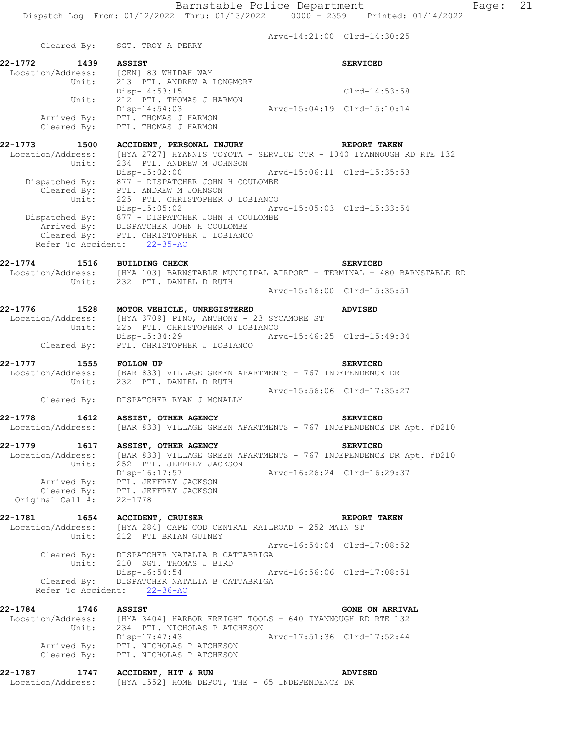|                              |       |                                                                                                                                                                            | Arvd-14:21:00 Clrd-14:30:25 |                        |
|------------------------------|-------|----------------------------------------------------------------------------------------------------------------------------------------------------------------------------|-----------------------------|------------------------|
|                              |       | Cleared By: SGT. TROY A PERRY                                                                                                                                              |                             |                        |
| 22-1772 1439 ASSIST          |       | Location/Address: [CEN] 83 WHIDAH WAY<br>Unit: 213 PTL. ANDREW A LONGMORE                                                                                                  |                             | <b>SERVICED</b>        |
|                              | Unit: | Disp-14:53:15<br>212 PTL. THOMAS J HARMON                                                                                                                                  |                             | $C1rd-14:53:58$        |
|                              |       | $Disp-14:54:03$<br>$Arvd-15:04:19$ $Clrd-15:10:14$<br>Arrived By: PTL. THOMAS J HARMON<br>Cleared By: PTL. THOMAS J HARMON                                                 |                             |                        |
| 22-1773 1500                 |       | ACCIDENT, PERSONAL INJURY NEPORT TAKEN                                                                                                                                     |                             |                        |
|                              |       | Location/Address: [HYA 2727] HYANNIS TOYOTA - SERVICE CTR - 1040 IYANNOUGH RD RTE 132<br>Unit: 234 PTL. ANDREW M JOHNSON                                                   |                             |                        |
|                              |       | Disp-15:02:00 Arvd-15:06:11 Clrd-15:35:53<br>Dispatched By: 877 - DISPATCHER JOHN H COULOMBE<br>Cleared By: PTL. ANDREW M JOHNSON<br>Unit: 225 PTL. CHRISTOPHER J LOBIANCO |                             |                        |
|                              |       | Disp-15:05:02 Arvd-15:05:03 Clrd-15:33:54                                                                                                                                  |                             |                        |
|                              |       | Dispatched By: 877 - DISPATCHER JOHN H COULOMBE<br>Arrived By: DISPATCHER JOHN H COULOMBE<br>Cleared By: PTL. CHRISTOPHER J LOBIANCO<br>Refer To Accident: 22-35-AC        |                             |                        |
|                              |       | 22-1774 1516 BUILDING CHECK                                                                                                                                                |                             | <b>SERVICED</b>        |
|                              |       | LOCAtion/Address: [HYA 103] BARNSTABLE MUNICIPAL AIRPORT - TERMINAL - 480 BARNSTABLE RD<br>Unit: 232 PTL. DANIEL D RUTH                                                    |                             |                        |
|                              |       |                                                                                                                                                                            | Arvd-15:16:00 Clrd-15:35:51 |                        |
|                              |       | 22-1776 1528 MOTOR VEHICLE, UNREGISTERED<br>Location/Address: [HYA 3709] PINO, ANTHONY - 23 SYCAMORE ST<br>Unit: 225 PTL. CHRISTOPHER J LOBIANCO                           |                             | <b>ADVISED</b>         |
|                              |       | Disp-15:34:29<br>Cleared By: PTL. CHRISTOPHER J LOBIANCO                                                                                                                   | Arvd-15:46:25 Clrd-15:49:34 |                        |
|                              |       | 22-1777 1555 FOLLOW UP                                                                                                                                                     |                             | <b>SERVICED</b>        |
|                              |       | Location/Address: [BAR 833] VILLAGE GREEN APARTMENTS - 767 INDEPENDENCE DR<br>Unit: 232 PTL. DANIEL D RUTH                                                                 |                             |                        |
|                              |       | Cleared By: DISPATCHER RYAN J MCNALLY                                                                                                                                      | Arvd-15:56:06 Clrd-17:35:27 |                        |
| 22-1778                      |       | 1612 ASSIST, OTHER AGENCY                                                                                                                                                  |                             | <b>SERVICED</b>        |
|                              |       | Location/Address: [BAR 833] VILLAGE GREEN APARTMENTS - 767 INDEPENDENCE DR Apt. #D210                                                                                      |                             |                        |
| 22-1779<br>Location/Address: |       | 1617 ASSIST, OTHER AGENCY<br>[BAR 833] VILLAGE GREEN APARTMENTS - 767 INDEPENDENCE DR Apt. #D210                                                                           |                             | <b>SERVICED</b>        |
| Original Call #:             | Unit: | 252 PTL. JEFFREY JACKSON<br>Disp-16:17:57<br>Arrived By: PTL. JEFFREY JACKSON<br>Cleared By: PTL. JEFFREY JACKSON<br>$22 - 1778$                                           | Arvd-16:26:24 Clrd-16:29:37 |                        |
|                              |       | 22-1781 1654 ACCIDENT, CRUISER                                                                                                                                             |                             | REPORT TAKEN           |
| Location/Address:            | Unit: | [HYA 284] CAPE COD CENTRAL RAILROAD - 252 MAIN ST<br>212 PTL BRIAN GUINEY                                                                                                  |                             |                        |
|                              |       | Cleared By: DISPATCHER NATALIA B CATTABRIGA                                                                                                                                | Arvd-16:54:04 Clrd-17:08:52 |                        |
|                              |       | Unit: 210 SGT. THOMAS J BIRD<br>Disp-16:54:54                                                                                                                              | Arvd-16:56:06 Clrd-17:08:51 |                        |
|                              |       | Cleared By: DISPATCHER NATALIA B CATTABRIGA<br>Refer To Accident: 22-36-AC                                                                                                 |                             |                        |
| 22-1784 1746                 |       | <b>ASSIST</b>                                                                                                                                                              |                             | <b>GONE ON ARRIVAL</b> |
|                              |       | Location/Address: [HYA 3404] HARBOR FREIGHT TOOLS - 640 IYANNOUGH RD RTE 132                                                                                               |                             |                        |

 Unit: 234 PTL. NICHOLAS P ATCHESON Disp-17:47:43 Arvd-17:51:36 Clrd-17:52:44 Arrived By: PTL. NICHOLAS P ATCHESON Cleared By: PTL. NICHOLAS P ATCHESON

## **22-1787 1747 ACCIDENT, HIT & RUN ADVISED**  Location/Address: [HYA 1552] HOME DEPOT, THE - 65 INDEPENDENCE DR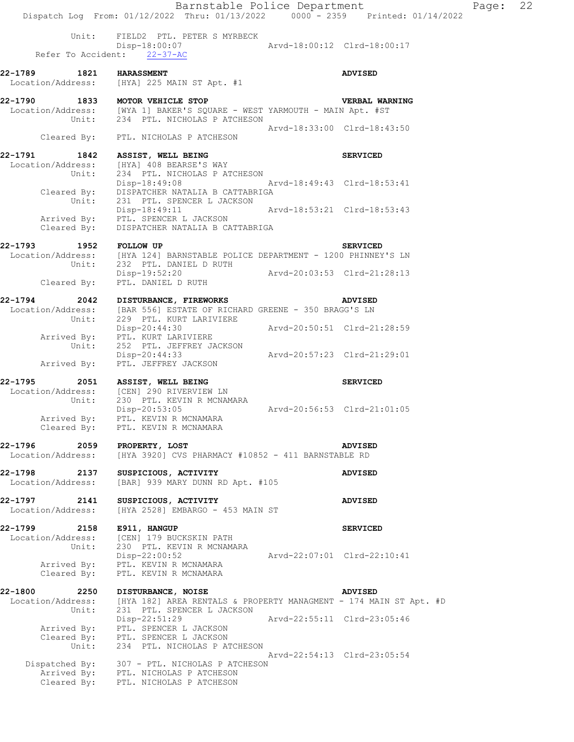Barnstable Police Department Page: 22 Dispatch Log From: 01/12/2022 Thru: 01/13/2022 0000 - 2359 Printed: 01/14/2022 Unit: FIELD2 PTL. PETER S MYRBECK<br>Disp-18:00:07 Disp-18:00:07 Arvd-18:00:12 Clrd-18:00:17 Refer To Accident: 22-37-AC **22-1789 1821 HARASSMENT ADVISED**  Location/Address: [HYA] 225 MAIN ST Apt. #1 **22-1790 1833 MOTOR VEHICLE STOP VERBAL WARNING**  Location/Address: [WYA 1] BAKER'S SQUARE - WEST YARMOUTH - MAIN Apt. #ST Unit: 234 PTL. NICHOLAS P ATCHESON Arvd-18:33:00 Clrd-18:43:50 Cleared By: PTL. NICHOLAS P ATCHESON **22-1791 1842 ASSIST, WELL BEING SERVICED**  Location/Address: [HYA] 408 BEARSE'S WAY<br>Unit: 234 PTL. NICHOLAS PAT 234 PTL. NICHOLAS P ATCHESON Disp-18:49:08 Arvd-18:49:43 Clrd-18:53:41 Cleared By: DISPATCHER NATALIA B CATTABRIGA Unit: 231 PTL. SPENCER L JACKSON Disp-18:49:11 Arvd-18:53:21 Clrd-18:53:43 Arrived By: PTL. SPENCER L JACKSON Cleared By: DISPATCHER NATALIA B CATTABRIGA **22-1793 1952 FOLLOW UP SERVICED**  [HYA 124] BARNSTABLE POLICE DEPARTMENT - 1200 PHINNEY'S LN Unit: 232 PTL. DANIEL D RUTH Disp-19:52:20 Arvd-20:03:53 Clrd-21:28:13 Cleared By: PTL. DANIEL D RUTH **22-1794 2042 DISTURBANCE, FIREWORKS ADVISED**  [BAR 556] ESTATE OF RICHARD GREENE - 350 BRAGG'S LN Unit: 229 PTL. KURT LARIVIERE Disp-20:44:30 Arvd-20:50:51 Clrd-21:28:59 Arrived By: PTL. KURT LARIVIERE Unit: 252 PTL. JEFFREY JACKSON Disp-20:44:33 Arvd-20:57:23 Clrd-21:29:01 Arrived By: PTL. JEFFREY JACKSON **22-1795 2051 ASSIST, WELL BEING SERVICED**  Location/Address: [CEN] 290 RIVERVIEW LN Unit: 230 F.L.<br>Disp-20:53:05<br>PIRERARA MENTER R Disp-20:53:05 Arvd-20:56:53 Clrd-21:01:05 Arrived By: PTL. KEVIN R MCNAMARA Cleared By: PTL. KEVIN R MCNAMARA **22-1796 2059 PROPERTY, LOST ADVISED**<br>Location/Address: [HYA 3920] CVS PHARMACY #10852 - 411 BARNSTABLE RD [HYA 3920] CVS PHARMACY #10852 - 411 BARNSTABLE RD **22-1798 2137 SUSPICIOUS, ACTIVITY ADVISED**  Location/Address: [BAR] 939 MARY DUNN RD Apt. #105 **22-1797 2141 SUSPICIOUS, ACTIVITY ADVISED**  Location/Address: [HYA 2528] EMBARGO - 453 MAIN ST **22-1799 2158 E911, HANGUP SERVICED**  Location/Address: [CEN] 179 BUCKSKIN PATH Unit: 230 PTL. KEVIN R MCNAMARA Disp-22:00:52 Arvd-22:07:01 Clrd-22:10:41 Arrived By: PTL. KEVIN R MCNAMARA Cleared By: PTL. KEVIN R MCNAMARA **22-1800 2250 DISTURBANCE, NOISE ADVISED**  Location/Address: [HYA 182] AREA RENTALS & PROPERTY MANAGMENT - 174 MAIN ST Apt. #D Unit: 231 PTL. SPENCER L JACKSON Disp-22:51:29 Arvd-22:55:11 Clrd-23:05:46 Arrived By: PTL. SPENCER L JACKSON Cleared By: PTL. SPENCER L JACKSON Unit: 234 PTL. NICHOLAS P ATCHESON Arvd-22:54:13 Clrd-23:05:54 Dispatched By: 307 - PTL. NICHOLAS P ATCHESON Arrived By: PTL. NICHOLAS P ATCHESON Cleared By: PTL. NICHOLAS P ATCHESON